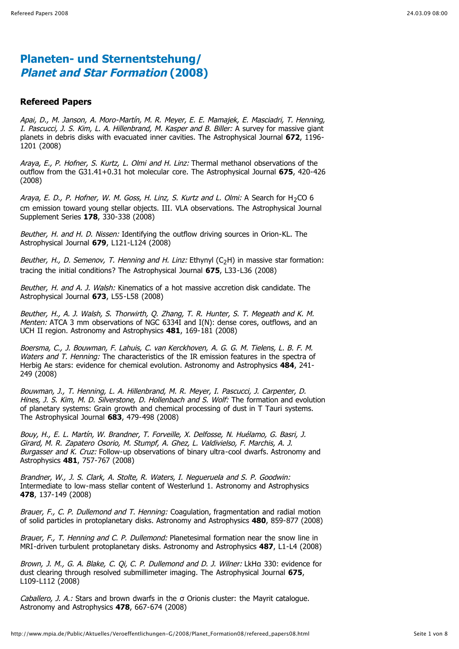#### **Refereed Papers**

Apai, D., M. Janson, A. Moro-Martín, M. R. Meyer, E. E. Mamajek, E. Masciadri, T. Henning, I. Pascucci, J. S. Kim, L. A. Hillenbrand, M. Kasper and B. Biller: A survey for massive giant planets in debris disks with evacuated inner cavities. The Astrophysical Journal **672**, 1196- 1201 (2008)

Araya, E., P. Hofner, S. Kurtz, L. Olmi and H. Linz: Thermal methanol observations of the outflow from the G31.41+0.31 hot molecular core. The Astrophysical Journal **675**, 420-426 (2008)

Araya, E. D., P. Hofner, W. M. Goss, H. Linz, S. Kurtz and L. Olmi: A Search for H<sub>2</sub>CO 6 cm emission toward young stellar objects. III. VLA observations. The Astrophysical Journal Supplement Series **178**, 330-338 (2008)

Beuther, H. and H. D. Nissen: Identifying the outflow driving sources in Orion-KL. The Astrophysical Journal **679**, L121-L124 (2008)

Beuther, H., D. Semenov, T. Henning and H. Linz: Ethynyl  $(C<sub>2</sub>H)$  in massive star formation: tracing the initial conditions? The Astrophysical Journal **675**, L33-L36 (2008)

Beuther, H. and A. J. Walsh: Kinematics of a hot massive accretion disk candidate. The Astrophysical Journal **673**, L55-L58 (2008)

Beuther, H., A. J. Walsh, S. Thorwirth, Q. Zhang, T. R. Hunter, S. T. Megeath and K. M. Menten: ATCA 3 mm observations of NGC 6334I and I(N): dense cores, outflows, and an UCH II region. Astronomy and Astrophysics **481**, 169-181 (2008)

Boersma, C., J. Bouwman, F. Lahuis, C. van Kerckhoven, A. G. G. M. Tielens, L. B. F. M. Waters and T. Henning: The characteristics of the IR emission features in the spectra of Herbig Ae stars: evidence for chemical evolution. Astronomy and Astrophysics **484**, 241- 249 (2008)

Bouwman, J., T. Henning, L. A. Hillenbrand, M. R. Meyer, I. Pascucci, J. Carpenter, D. Hines, J. S. Kim, M. D. Silverstone, D. Hollenbach and S. Wolf: The formation and evolution of planetary systems: Grain growth and chemical processing of dust in T Tauri systems. The Astrophysical Journal **683**, 479-498 (2008)

Bouy, H., E. L. Martín, W. Brandner, T. Forveille, X. Delfosse, N. Huélamo, G. Basri, J. Girard, M. R. Zapatero Osorio, M. Stumpf, A. Ghez, L. Valdivielso, F. Marchis, A. J. Burgasser and K. Cruz: Follow-up observations of binary ultra-cool dwarfs. Astronomy and Astrophysics **481**, 757-767 (2008)

Brandner, W., J. S. Clark, A. Stolte, R. Waters, I. Negueruela and S. P. Goodwin: Intermediate to low-mass stellar content of Westerlund 1. Astronomy and Astrophysics **478**, 137-149 (2008)

Brauer, F., C. P. Dullemond and T. Henning: Coagulation, fragmentation and radial motion of solid particles in protoplanetary disks. Astronomy and Astrophysics **480**, 859-877 (2008)

Brauer, F., T. Henning and C. P. Dullemond: Planetesimal formation near the snow line in MRI-driven turbulent protoplanetary disks. Astronomy and Astrophysics **487**, L1-L4 (2008)

Brown, J. M., G. A. Blake, C. Oi, C. P. Dullemond and D. J. Wilner: LkHa 330: evidence for dust clearing through resolved submillimeter imaging. The Astrophysical Journal **675**, L109-L112 (2008)

Caballero, J. A.: Stars and brown dwarfs in the  $\sigma$  Orionis cluster: the Mayrit catalogue. Astronomy and Astrophysics **478**, 667-674 (2008)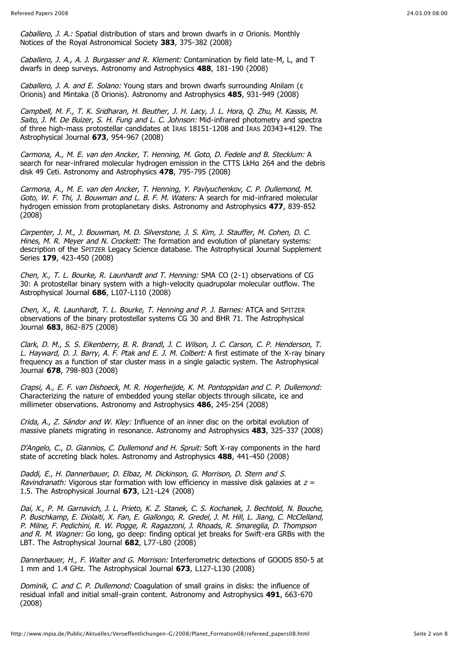Caballero, J. A.: Spatial distribution of stars and brown dwarfs in  $\sigma$  Orionis. Monthly Notices of the Royal Astronomical Society **383**, 375-382 (2008)

Caballero, J. A., A. J. Burgasser and R. Klement: Contamination by field late-M, L, and T dwarfs in deep surveys. Astronomy and Astrophysics **488**, 181-190 (2008)

Caballero, J. A. and E. Solano: Young stars and brown dwarfs surrounding Alnilam ( $\epsilon$ ) Orionis) and Mintaka (δ Orionis). Astronomy and Astrophysics 485, 931-949 (2008)

Campbell, M. F., T. K. Sridharan, H. Beuther, J. H. Lacy, J. L. Hora, Q. Zhu, M. Kassis, M. Saito, J. M. De Buizer, S. H. Fung and L. C. Johnson: Mid-infrared photometry and spectra of three high-mass protostellar candidates at IRAS 18151-1208 and IRAS 20343+4129. The Astrophysical Journal **673**, 954-967 (2008)

Carmona, A., M. E. van den Ancker, T. Henning, M. Goto, D. Fedele and B. Stecklum: A search for near-infrared molecular hydrogen emission in the CTTS LkHa 264 and the debris disk 49 Ceti. Astronomy and Astrophysics **478**, 795-795 (2008)

Carmona, A., M. E. van den Ancker, T. Henning, Y. Pavlyuchenkov, C. P. Dullemond, M. Goto, W. F. Thi, J. Bouwman and L. B. F. M. Waters: A search for mid-infrared molecular hydrogen emission from protoplanetary disks. Astronomy and Astrophysics **477**, 839-852 (2008)

Carpenter, J. M., J. Bouwman, M. D. Silverstone, J. S. Kim, J. Stauffer, M. Cohen, D. C. Hines, M. R. Meyer and N. Crockett: The formation and evolution of planetary systems: description of the SPITZER Legacy Science database. The Astrophysical Journal Supplement Series **179**, 423-450 (2008)

Chen, X., T. L. Bourke, R. Launhardt and T. Henning: SMA CO (2-1) observations of CG 30: A protostellar binary system with a high-velocity quadrupolar molecular outflow. The Astrophysical Journal **686**, L107-L110 (2008)

Chen, X., R. Launhardt, T. L. Bourke, T. Henning and P. J. Barnes: ATCA and SPITZER observations of the binary protostellar systems CG 30 and BHR 71. The Astrophysical Journal **683**, 862-875 (2008)

Clark, D. M., S. S. Eikenberry, B. R. Brandl, J. C. Wilson, J. C. Carson, C. P. Henderson, T. L. Hayward, D. J. Barry, A. F. Ptak and E. J. M. Colbert: A first estimate of the X-ray binary frequency as a function of star cluster mass in a single galactic system. The Astrophysical Journal **678**, 798-803 (2008)

Crapsi, A., E. F. van Dishoeck, M. R. Hogerheijde, K. M. Pontoppidan and C. P. Dullemond: Characterizing the nature of embedded young stellar objects through silicate, ice and millimeter observations. Astronomy and Astrophysics **486**, 245-254 (2008)

Crida, A., Z. Sándor and W. Kley: Influence of an inner disc on the orbital evolution of massive planets migrating in resonance. Astronomy and Astrophysics **483**, 325-337 (2008)

D'Angelo, C., D. Giannios, C. Dullemond and H. Spruit: Soft X-ray components in the hard state of accreting black holes. Astronomy and Astrophysics **488**, 441-450 (2008)

Daddi, E., H. Dannerbauer, D. Elbaz, M. Dickinson, G. Morrison, D. Stern and S. Ravindranath: Vigorous star formation with low efficiency in massive disk galaxies at  $z =$ 1.5. The Astrophysical Journal **673**, L21-L24 (2008)

Dai, X., P. M. Garnavich, J. L. Prieto, K. Z. Stanek, C. S. Kochanek, J. Bechtold, N. Bouche, P. Buschkamp, E. Diolaiti, X. Fan, E. Giallongo, R. Gredel, J. M. Hill, L. Jiang, C. McClelland, P. Milne, F. Pedichini, R. W. Pogge, R. Ragazzoni, J. Rhoads, R. Smareglia, D. Thompson and R. M. Wagner: Go long, go deep: finding optical jet breaks for Swift-era GRBs with the LBT. The Astrophysical Journal **682**, L77-L80 (2008)

Dannerbauer, H., F. Walter and G. Morrison: Interferometric detections of GOODS 850-5 at 1 mm and 1.4 GHz. The Astrophysical Journal **673**, L127-L130 (2008)

Dominik, C. and C. P. Dullemond: Coagulation of small grains in disks: the influence of residual infall and initial small-grain content. Astronomy and Astrophysics **491**, 663-670 (2008)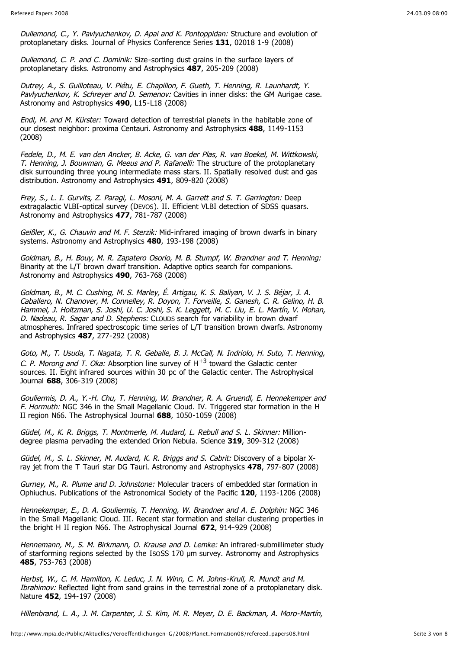Dullemond, C., Y. Pavlyuchenkov, D. Apai and K. Pontoppidan: Structure and evolution of protoplanetary disks. Journal of Physics Conference Series **131**, 02018 1-9 (2008)

Dullemond, C. P. and C. Dominik: Size-sorting dust grains in the surface layers of protoplanetary disks. Astronomy and Astrophysics **487**, 205-209 (2008)

Dutrey, A., S. Guilloteau, V. Piétu, E. Chapillon, F. Gueth, T. Henning, R. Launhardt, Y. Pavlyuchenkov, K. Schreyer and D. Semenov: Cavities in inner disks: the GM Aurigae case. Astronomy and Astrophysics **490**, L15-L18 (2008)

Endl, M. and M. Kürster: Toward detection of terrestrial planets in the habitable zone of our closest neighbor: proxima Centauri. Astronomy and Astrophysics **488**, 1149-1153 (2008)

Fedele, D., M. E. van den Ancker, B. Acke, G. van der Plas, R. van Boekel, M. Wittkowski, T. Henning, J. Bouwman, G. Meeus and P. Rafanelli: The structure of the protoplanetary disk surrounding three young intermediate mass stars. II. Spatially resolved dust and gas distribution. Astronomy and Astrophysics **491**, 809-820 (2008)

Frey, S., L. I. Gurvits, Z. Paragi, L. Mosoni, M. A. Garrett and S. T. Garrington: Deep extragalactic VLBI-optical survey (DEVOS). II. Efficient VLBI detection of SDSS quasars. Astronomy and Astrophysics **477**, 781-787 (2008)

Geißler, K., G. Chauvin and M. F. Sterzik: Mid-infrared imaging of brown dwarfs in binary systems. Astronomy and Astrophysics **480**, 193-198 (2008)

Goldman, B., H. Bouy, M. R. Zapatero Osorio, M. B. Stumpf, W. Brandner and T. Henning: Binarity at the L/T brown dwarf transition. Adaptive optics search for companions. Astronomy and Astrophysics **490**, 763-768 (2008)

Goldman, B., M. C. Cushing, M. S. Marley, É. Artigau, K. S. Baliyan, V. J. S. Béjar, J. A. Caballero, N. Chanover, M. Connelley, R. Doyon, T. Forveille, S. Ganesh, C. R. Gelino, H. B. Hammel, J. Holtzman, S. Joshi, U. C. Joshi, S. K. Leggett, M. C. Liu, E. L. Martín, V. Mohan, D. Nadeau, R. Sagar and D. Stephens: CLOUDS search for variability in brown dwarf atmospheres. Infrared spectroscopic time series of L/T transition brown dwarfs. Astronomy and Astrophysics **487**, 277-292 (2008)

Goto, M., T. Usuda, T. Nagata, T. R. Geballe, B. J. McCall, N. Indriolo, H. Suto, T. Henning, C. P. Morong and T. Oka: Absorption line survey of  $H^{+3}$  toward the Galactic center sources. II. Eight infrared sources within 30 pc of the Galactic center. The Astrophysical Journal **688**, 306-319 (2008)

Gouliermis, D. A., Y.-H. Chu, T. Henning, W. Brandner, R. A. Gruendl, E. Hennekemper and F. Hormuth: NGC 346 in the Small Magellanic Cloud. IV. Triggered star formation in the H II region N66. The Astrophysical Journal **688**, 1050-1059 (2008)

Güdel, M., K. R. Briggs, T. Montmerle, M. Audard, L. Rebull and S. L. Skinner: Milliondegree plasma pervading the extended Orion Nebula. Science **319**, 309-312 (2008)

Güdel, M., S. L. Skinner, M. Audard, K. R. Briggs and S. Cabrit: Discovery of a bipolar Xray jet from the T Tauri star DG Tauri. Astronomy and Astrophysics **478**, 797-807 (2008)

Gurney, M., R. Plume and D. Johnstone: Molecular tracers of embedded star formation in Ophiuchus. Publications of the Astronomical Society of the Pacific **120**, 1193-1206 (2008)

Hennekemper, E., D. A. Gouliermis, T. Henning, W. Brandner and A. E. Dolphin: NGC 346 in the Small Magellanic Cloud. III. Recent star formation and stellar clustering properties in the bright H II region N66. The Astrophysical Journal **672**, 914-929 (2008)

Hennemann, M., S. M. Birkmann, O. Krause and D. Lemke: An infrared-submillimeter study of starforming regions selected by the ISOSS 170 m survey. Astronomy and Astrophysics **485**, 753-763 (2008)

Herbst, W., C. M. Hamilton, K. Leduc, J. N. Winn, C. M. Johns-Krull, R. Mundt and M. Ibrahimov: Reflected light from sand grains in the terrestrial zone of a protoplanetary disk. Nature **452**, 194-197 (2008)

Hillenbrand, L. A., J. M. Carpenter, J. S. Kim, M. R. Meyer, D. E. Backman, A. Moro-Martín,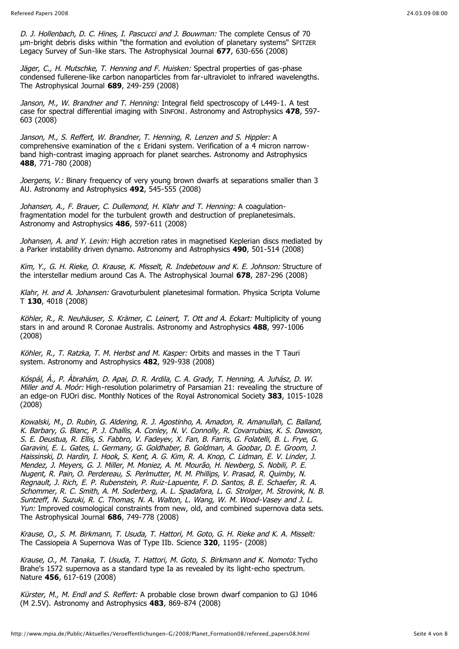D. J. Hollenbach, D. C. Hines, I. Pascucci and J. Bouwman: The complete Census of 70 m-bright debris disks within "the formation and evolution of planetary systems" SPITZER Legacy Survey of Sun-like stars. The Astrophysical Journal **677**, 630-656 (2008)

Jäger, C., H. Mutschke, T. Henning and F. Huisken: Spectral properties of gas-phase condensed fullerene-like carbon nanoparticles from far-ultraviolet to infrared wavelengths. The Astrophysical Journal **689**, 249-259 (2008)

Janson, M., W. Brandner and T. Henning: Integral field spectroscopy of L449-1. A test case for spectral differential imaging with SINFONI. Astronomy and Astrophysics **478**, 597- 603 (2008)

Janson, M., S. Reffert, W. Brandner, T. Henning, R. Lenzen and S. Hippler: A comprehensive examination of the  $\varepsilon$  Eridani system. Verification of a 4 micron narrowband high-contrast imaging approach for planet searches. Astronomy and Astrophysics **488**, 771-780 (2008)

Joergens, V.: Binary frequency of very young brown dwarfs at separations smaller than 3 AU. Astronomy and Astrophysics **492**, 545-555 (2008)

Johansen, A., F. Brauer, C. Dullemond, H. Klahr and T. Henning: A coagulationfragmentation model for the turbulent growth and destruction of preplanetesimals. Astronomy and Astrophysics **486**, 597-611 (2008)

Johansen, A. and Y. Levin: High accretion rates in magnetised Keplerian discs mediated by a Parker instability driven dynamo. Astronomy and Astrophysics **490**, 501-514 (2008)

Kim, Y., G. H. Rieke, O. Krause, K. Misselt, R. Indebetouw and K. E. Johnson: Structure of the interstellar medium around Cas A. The Astrophysical Journal **678**, 287-296 (2008)

Klahr, H. and A. Johansen: Gravoturbulent planetesimal formation. Physica Scripta Volume T **130**, 4018 (2008)

Köhler, R., R. Neuhäuser, S. Krämer, C. Leinert, T. Ott and A. Eckart: Multiplicity of young stars in and around R Coronae Australis. Astronomy and Astrophysics **488**, 997-1006 (2008)

Köhler, R., T. Ratzka, T. M. Herbst and M. Kasper: Orbits and masses in the T Tauri system. Astronomy and Astrophysics **482**, 929-938 (2008)

Kóspál, Á., P. Ábrahám, D. Apai, D. R. Ardila, C. A. Grady, T. Henning, A. Juhász, D. W. Miller and A. Moór: High-resolution polarimetry of Parsamian 21: revealing the structure of an edge-on FUOri disc. Monthly Notices of the Royal Astronomical Society **383**, 1015-1028 (2008)

Kowalski, M., D. Rubin, G. Aldering, R. J. Agostinho, A. Amadon, R. Amanullah, C. Balland, K. Barbary, G. Blanc, P. J. Challis, A. Conley, N. V. Connolly, R. Covarrubias, K. S. Dawson, S. E. Deustua, R. Ellis, S. Fabbro, V. Fadeyev, X. Fan, B. Farris, G. Folatelli, B. L. Frye, G. Garavini, E. L. Gates, L. Germany, G. Goldhaber, B. Goldman, A. Goobar, D. E. Groom, J. Haissinski, D. Hardin, I. Hook, S. Kent, A. G. Kim, R. A. Knop, C. Lidman, E. V. Linder, J. Mendez, J. Meyers, G. J. Miller, M. Moniez, A. M. Mourão, H. Newberg, S. Nobili, P. E. Nugent, R. Pain, O. Perdereau, S. Perlmutter, M. M. Phillips, V. Prasad, R. Quimby, N. Regnault, J. Rich, E. P. Rubenstein, P. Ruiz-Lapuente, F. D. Santos, B. E. Schaefer, R. A. Schommer, R. C. Smith, A. M. Soderberg, A. L. Spadafora, L. G. Strolger, M. Strovink, N. B. Suntzeff, N. Suzuki, R. C. Thomas, N. A. Walton, L. Wang, W. M. Wood-Vasey and J. L. Yun: Improved cosmological constraints from new, old, and combined supernova data sets. The Astrophysical Journal **686**, 749-778 (2008)

Krause, O., S. M. Birkmann, T. Usuda, T. Hattori, M. Goto, G. H. Rieke and K. A. Misselt: The Cassiopeia A Supernova Was of Type IIb. Science **320**, 1195- (2008)

Krause, O., M. Tanaka, T. Usuda, T. Hattori, M. Goto, S. Birkmann and K. Nomoto: Tycho Brahe's 1572 supernova as a standard type Ia as revealed by its light-echo spectrum. Nature **456**, 617-619 (2008)

Kürster, M., M. Endl and S. Reffert: A probable close brown dwarf companion to GJ 1046 (M 2.5V). Astronomy and Astrophysics **483**, 869-874 (2008)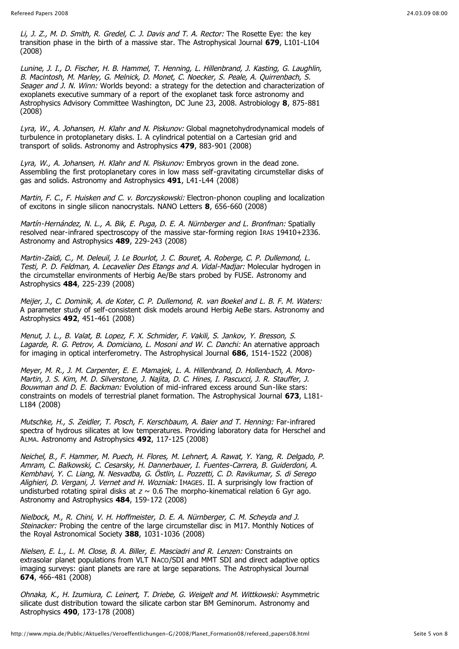Li, J. Z., M. D. Smith, R. Gredel, C. J. Davis and T. A. Rector: The Rosette Eye: the key transition phase in the birth of a massive star. The Astrophysical Journal **679**, L101-L104 (2008)

Lunine, J. I., D. Fischer, H. B. Hammel, T. Henning, L. Hillenbrand, J. Kasting, G. Laughlin, B. Macintosh, M. Marley, G. Melnick, D. Monet, C. Noecker, S. Peale, A. Quirrenbach, S. Seager and J. N. Winn: Worlds beyond: a strategy for the detection and characterization of exoplanets executive summary of a report of the exoplanet task force astronomy and Astrophysics Advisory Committee Washington, DC June 23, 2008. Astrobiology **8**, 875-881 (2008)

Lyra, W., A. Johansen, H. Klahr and N. Piskunov: Global magnetohydrodynamical models of turbulence in protoplanetary disks. I. A cylindrical potential on a Cartesian grid and transport of solids. Astronomy and Astrophysics **479**, 883-901 (2008)

Lyra, W., A. Johansen, H. Klahr and N. Piskunov: Embryos grown in the dead zone. Assembling the first protoplanetary cores in low mass self-gravitating circumstellar disks of gas and solids. Astronomy and Astrophysics **491**, L41-L44 (2008)

Martin, F. C., F. Huisken and C. v. Borczyskowski: Electron-phonon coupling and localization of excitons in single silicon nanocrystals. NANO Letters **8**, 656-660 (2008)

Martín-Hernández, N. L., A. Bik, E. Puga, D. E. A. Nürnberger and L. Bronfman: Spatially resolved near-infrared spectroscopy of the massive star-forming region IRAS 19410+2336. Astronomy and Astrophysics **489**, 229-243 (2008)

Martin-Zaïdi, C., M. Deleuil, J. Le Bourlot, J. C. Bouret, A. Roberge, C. P. Dullemond, L. Testi, P. D. Feldman, A. Lecavelier Des Etangs and A. Vidal-Madjar: Molecular hydrogen in the circumstellar environments of Herbig Ae/Be stars probed by FUSE. Astronomy and Astrophysics **484**, 225-239 (2008)

Meijer, J., C. Dominik, A. de Koter, C. P. Dullemond, R. van Boekel and L. B. F. M. Waters: A parameter study of self-consistent disk models around Herbig AeBe stars. Astronomy and Astrophysics **492**, 451-461 (2008)

Menut, J. L., B. Valat, B. Lopez, F. X. Schmider, F. Vakili, S. Jankov, Y. Bresson, S. Lagarde, R. G. Petrov, A. Domiciano, L. Mosoni and W. C. Danchi: An aternative approach for imaging in optical interferometry. The Astrophysical Journal **686**, 1514-1522 (2008)

Meyer, M. R., J. M. Carpenter, E. E. Mamajek, L. A. Hillenbrand, D. Hollenbach, A. Moro-Martin, J. S. Kim, M. D. Silverstone, J. Najita, D. C. Hines, I. Pascucci, J. R. Stauffer, J. Bouwman and D. E. Backman: Evolution of mid-infrared excess around Sun-like stars: constraints on models of terrestrial planet formation. The Astrophysical Journal **673**, L181- L184 (2008)

Mutschke, H., S. Zeidler, T. Posch, F. Kerschbaum, A. Baier and T. Henning: Far-infrared spectra of hydrous silicates at low temperatures. Providing laboratory data for Herschel and ALMA. Astronomy and Astrophysics **492**, 117-125 (2008)

Neichel, B., F. Hammer, M. Puech, H. Flores, M. Lehnert, A. Rawat, Y. Yang, R. Delgado, P. Amram, C. Balkowski, C. Cesarsky, H. Dannerbauer, I. Fuentes-Carrera, B. Guiderdoni, A. Kembhavi, Y. C. Liang, N. Nesvadba, G. Östlin, L. Pozzetti, C. D. Ravikumar, S. di Serego Alighieri, D. Vergani, J. Vernet and H. Wozniak: IMAGES, II. A surprisingly low fraction of undisturbed rotating spiral disks at  $z \sim 0.6$  The morpho-kinematical relation 6 Gyr ago. Astronomy and Astrophysics **484**, 159-172 (2008)

Nielbock, M., R. Chini, V. H. Hoffmeister, D. E. A. Nürnberger, C. M. Scheyda and J. Steinacker: Probing the centre of the large circumstellar disc in M17. Monthly Notices of the Royal Astronomical Society **388**, 1031-1036 (2008)

Nielsen, E. L., L. M. Close, B. A. Biller, E. Masciadri and R. Lenzen: Constraints on extrasolar planet populations from VLT NACO/SDI and MMT SDI and direct adaptive optics imaging surveys: giant planets are rare at large separations. The Astrophysical Journal **674**, 466-481 (2008)

Ohnaka, K., H. Izumiura, C. Leinert, T. Driebe, G. Weigelt and M. Wittkowski: Asymmetric silicate dust distribution toward the silicate carbon star BM Geminorum. Astronomy and Astrophysics **490**, 173-178 (2008)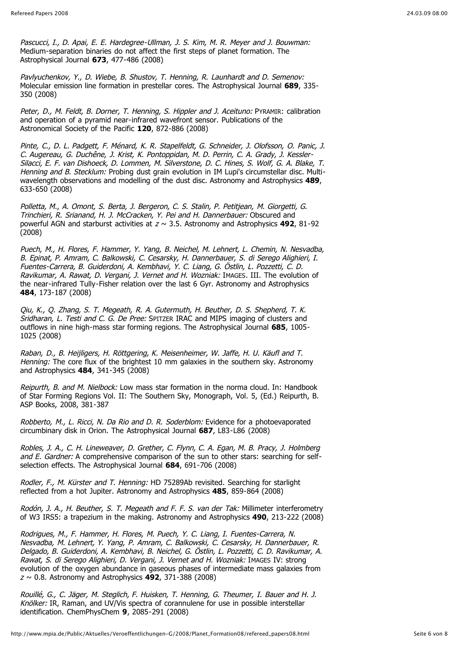Pascucci, I., D. Apai, E. E. Hardegree-Ullman, J. S. Kim, M. R. Meyer and J. Bouwman: Medium-separation binaries do not affect the first steps of planet formation. The Astrophysical Journal **673**, 477-486 (2008)

Pavlyuchenkov, Y., D. Wiebe, B. Shustov, T. Henning, R. Launhardt and D. Semenov: Molecular emission line formation in prestellar cores. The Astrophysical Journal **689**, 335- 350 (2008)

Peter, D., M. Feldt, B. Dorner, T. Henning, S. Hippler and J. Aceituno: PYRAMIR: calibration and operation of a pyramid near-infrared wavefront sensor. Publications of the Astronomical Society of the Pacific **120**, 872-886 (2008)

Pinte, C., D. L. Padgett, F. Ménard, K. R. Stapelfeldt, G. Schneider, J. Olofsson, O. Panic, J. C. Augereau, G. Duchêne, J. Krist, K. Pontoppidan, M. D. Perrin, C. A. Grady, J. Kessler-Silacci, E. F. van Dishoeck, D. Lommen, M. Silverstone, D. C. Hines, S. Wolf, G. A. Blake, T. Henning and B. Stecklum: Probing dust grain evolution in IM Lupi's circumstellar disc. Multiwavelength observations and modelling of the dust disc. Astronomy and Astrophysics **489**, 633-650 (2008)

Polletta, M., A. Omont, S. Berta, J. Bergeron, C. S. Stalin, P. Petitjean, M. Giorgetti, G. Trinchieri, R. Srianand, H. J. McCracken, Y. Pei and H. Dannerbauer: Obscured and powerful AGN and starburst activities at z ~ 3.5. Astronomy and Astrophysics **492**, 81-92 (2008)

Puech, M., H. Flores, F. Hammer, Y. Yang, B. Neichel, M. Lehnert, L. Chemin, N. Nesvadba, B. Epinat, P. Amram, C. Balkowski, C. Cesarsky, H. Dannerbauer, S. di Serego Alighieri, I. Fuentes-Carrera, B. Guiderdoni, A. Kembhavi, Y. C. Liang, G. Östlin, L. Pozzetti, C. D. Ravikumar, A. Rawat, D. Vergani, J. Vernet and H. Wozniak: IMAGES. III. The evolution of the near-infrared Tully-Fisher relation over the last 6 Gyr. Astronomy and Astrophysics **484**, 173-187 (2008)

Qiu, K., Q. Zhang, S. T. Megeath, R. A. Gutermuth, H. Beuther, D. S. Shepherd, T. K. Sridharan, L. Testi and C. G. De Pree: SPITZER IRAC and MIPS imaging of clusters and outflows in nine high-mass star forming regions. The Astrophysical Journal **685**, 1005- 1025 (2008)

Raban, D., B. Heijligers, H. Röttgering, K. Meisenheimer, W. Jaffe, H. U. Käufl and T. Henning: The core flux of the brightest 10 mm galaxies in the southern sky. Astronomy and Astrophysics **484**, 341-345 (2008)

Reipurth, B. and M. Nielbock: Low mass star formation in the norma cloud. In: Handbook of Star Forming Regions Vol. II: The Southern Sky, Monograph, Vol. 5, (Ed.) Reipurth, B. ASP Books, 2008, 381-387

Robberto, M., L. Ricci, N. Da Rio and D. R. Soderblom: Evidence for a photoevaporated circumbinary disk in Orion. The Astrophysical Journal **687**, L83-L86 (2008)

Robles, J. A., C. H. Lineweaver, D. Grether, C. Flynn, C. A. Egan, M. B. Pracy, J. Holmberg and E. Gardner: A comprehensive comparison of the sun to other stars: searching for selfselection effects. The Astrophysical Journal **684**, 691-706 (2008)

Rodler, F., M. Kürster and T. Henning: HD 75289Ab revisited. Searching for starlight reflected from a hot Jupiter. Astronomy and Astrophysics **485**, 859-864 (2008)

Rodón, J. A., H. Beuther, S. T. Megeath and F. F. S. van der Tak: Millimeter interferometry of W3 IRS5: a trapezium in the making. Astronomy and Astrophysics **490**, 213-222 (2008)

Rodrigues, M., F. Hammer, H. Flores, M. Puech, Y. C. Liang, I. Fuentes-Carrera, N. Nesvadba, M. Lehnert, Y. Yang, P. Amram, C. Balkowski, C. Cesarsky, H. Dannerbauer, R. Delgado, B. Guiderdoni, A. Kembhavi, B. Neichel, G. Östlin, L. Pozzetti, C. D. Ravikumar, A. Rawat, S. di Serego Alighieri, D. Vergani, J. Vernet and H. Wozniak: IMAGES IV: strong evolution of the oxygen abundance in gaseous phases of intermediate mass galaxies from <sup>z</sup> ~ 0.8. Astronomy and Astrophysics **492**, 371-388 (2008)

Rouillé, G., C. Jäger, M. Steglich, F. Huisken, T. Henning, G. Theumer, I. Bauer and H. J. Knölker: IR, Raman, and UV/Vis spectra of corannulene for use in possible interstellar identification. ChemPhysChem **9**, 2085-291 (2008)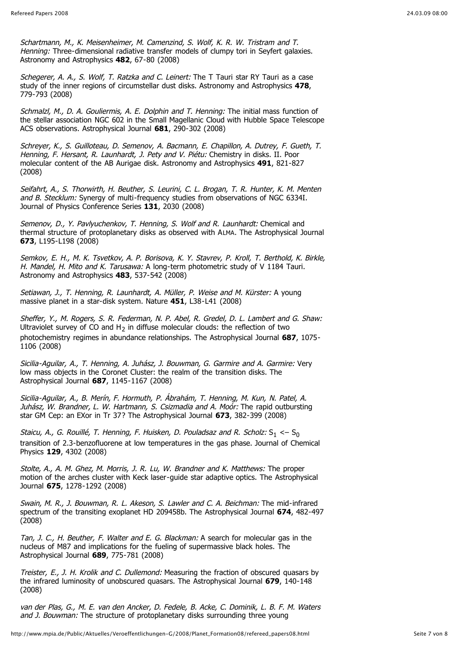Schartmann, M., K. Meisenheimer, M. Camenzind, S. Wolf, K. R. W. Tristram and T. Henning: Three-dimensional radiative transfer models of clumpy tori in Seyfert galaxies. Astronomy and Astrophysics **482**, 67-80 (2008)

Schegerer, A. A., S. Wolf, T. Ratzka and C. Leinert: The T Tauri star RY Tauri as a case study of the inner regions of circumstellar dust disks. Astronomy and Astrophysics **478**, 779-793 (2008)

Schmalzl, M., D. A. Gouliermis, A. E. Dolphin and T. Henning: The initial mass function of the stellar association NGC 602 in the Small Magellanic Cloud with Hubble Space Telescope ACS observations. Astrophysical Journal **681**, 290-302 (2008)

Schreyer, K., S. Guilloteau, D. Semenov, A. Bacmann, E. Chapillon, A. Dutrey, F. Gueth, T. Henning, F. Hersant, R. Launhardt, J. Pety and V. Piétu: Chemistry in disks. II. Poor molecular content of the AB Aurigae disk. Astronomy and Astrophysics **491**, 821-827 (2008)

Seifahrt, A., S. Thorwirth, H. Beuther, S. Leurini, C. L. Brogan, T. R. Hunter, K. M. Menten and B. Stecklum: Synergy of multi-frequency studies from observations of NGC 6334I. Journal of Physics Conference Series **131**, 2030 (2008)

Semenov, D., Y. Pavlyuchenkov, T. Henning, S. Wolf and R. Launhardt: Chemical and thermal structure of protoplanetary disks as observed with ALMA. The Astrophysical Journal **673**, L195-L198 (2008)

Semkov, E. H., M. K. Tsvetkov, A. P. Borisova, K. Y. Stavrev, P. Kroll, T. Berthold, K. Birkle, H. Mandel. H. Mito and K. Tarusawa: A long-term photometric study of V 1184 Tauri. Astronomy and Astrophysics **483**, 537-542 (2008)

Setiawan, J., T. Henning, R. Launhardt, A. Müller, P. Weise and M. Kürster: A young massive planet in a star-disk system. Nature **451**, L38-L41 (2008)

Sheffer, Y., M. Rogers, S. R. Federman, N. P. Abel, R. Gredel, D. L. Lambert and G. Shaw: Ultraviolet survey of CO and  $H_2$  in diffuse molecular clouds: the reflection of two photochemistry regimes in abundance relationships. The Astrophysical Journal **687**, 1075- 1106 (2008)

Sicilia-Aguilar, A., T. Henning, A. Juhász, J. Bouwman, G. Garmire and A. Garmire: Very low mass objects in the Coronet Cluster: the realm of the transition disks. The Astrophysical Journal **687**, 1145-1167 (2008)

Sicilia-Aguilar, A., B. Merín, F. Hormuth, P. Ábrahám, T. Henning, M. Kun, N. Patel, A. Juhász, W. Brandner, L. W. Hartmann, S. Csizmadia and A. Moor: The rapid outbursting star GM Cep: an EXor in Tr 37? The Astrophysical Journal **673**, 382-399 (2008)

Staicu, A., G. Rouillé, T. Henning, F. Huisken, D. Pouladsaz and R. Scholz:  $S_1 \leftarrow S_0$ transition of 2.3-benzofluorene at low temperatures in the gas phase. Journal of Chemical Physics **129**, 4302 (2008)

Stolte, A., A. M. Ghez, M. Morris, J. R. Lu, W. Brandner and K. Matthews: The proper motion of the arches cluster with Keck laser-guide star adaptive optics. The Astrophysical Journal **675**, 1278-1292 (2008)

Swain, M. R., J. Bouwman, R. L. Akeson, S. Lawler and C. A. Beichman: The mid-infrared spectrum of the transiting exoplanet HD 209458b. The Astrophysical Journal **674**, 482-497 (2008)

Tan, J. C., H. Beuther, F. Walter and E. G. Blackman: A search for molecular gas in the nucleus of M87 and implications for the fueling of supermassive black holes. The Astrophysical Journal **689**, 775-781 (2008)

Treister, E., J. H. Krolik and C. Dullemond: Measuring the fraction of obscured quasars by the infrared luminosity of unobscured quasars. The Astrophysical Journal **679**, 140-148 (2008)

van der Plas, G., M. E. van den Ancker, D. Fedele, B. Acke, C. Dominik, L. B. F. M. Waters and J. Bouwman: The structure of protoplanetary disks surrounding three young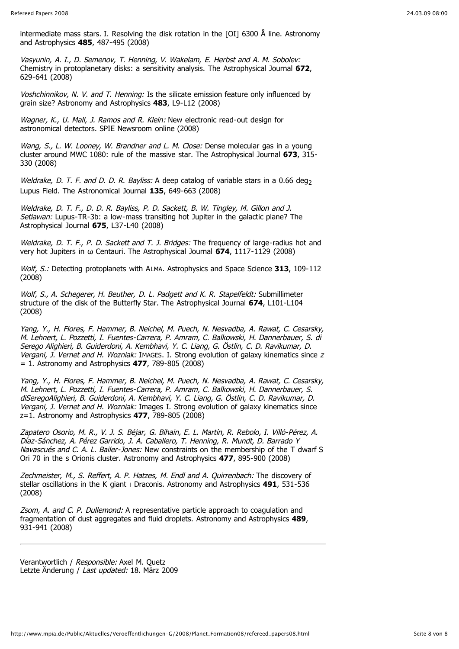intermediate mass stars. I. Resolving the disk rotation in the [OI] 6300 Å line. Astronomy and Astrophysics **485**, 487-495 (2008)

Vasyunin, A. I., D. Semenov, T. Henning, V. Wakelam, E. Herbst and A. M. Sobolev: Chemistry in protoplanetary disks: a sensitivity analysis. The Astrophysical Journal **672**, 629-641 (2008)

Voshchinnikov, N. V. and T. Henning: Is the silicate emission feature only influenced by grain size? Astronomy and Astrophysics **483**, L9-L12 (2008)

Wagner, K., U. Mall, J. Ramos and R. Klein: New electronic read-out design for astronomical detectors. SPIE Newsroom online (2008)

Wang, S., L. W. Looney, W. Brandner and L. M. Close: Dense molecular gas in a young cluster around MWC 1080: rule of the massive star. The Astrophysical Journal **673**, 315- 330 (2008)

Weldrake, D. T. F. and D. D. R. Bayliss: A deep catalog of variable stars in a 0.66 deg<sub>2</sub> Lupus Field. The Astronomical Journal **135**, 649-663 (2008)

Weldrake, D. T. F., D. D. R. Bayliss, P. D. Sackett, B. W. Tingley, M. Gillon and J. Setiawan: Lupus-TR-3b: a low-mass transiting hot Jupiter in the galactic plane? The Astrophysical Journal **675**, L37-L40 (2008)

Weldrake, D. T. F., P. D. Sackett and T. J. Bridges: The frequency of large-radius hot and very hot Jupiters in Centauri. The Astrophysical Journal **674**, 1117-1129 (2008)

Wolf, S.: Detecting protoplanets with ALMA. Astrophysics and Space Science **313**, 109-112 (2008)

Wolf, S., A. Schegerer, H. Beuther, D. L. Padgett and K. R. Stapelfeldt: Submillimeter structure of the disk of the Butterfly Star. The Astrophysical Journal **674**, L101-L104 (2008)

Yang, Y., H. Flores, F. Hammer, B. Neichel, M. Puech, N. Nesvadba, A. Rawat, C. Cesarsky, M. Lehnert, L. Pozzetti, I. Fuentes-Carrera, P. Amram, C. Balkowski, H. Dannerbauer, S. di Serego Alighieri, B. Guiderdoni, A. Kembhavi, Y. C. Liang, G. Östlin, C. D. Ravikumar, D. Vergani, J. Vernet and H. Wozniak: IMAGES. I. Strong evolution of galaxy kinematics since z = 1. Astronomy and Astrophysics **477**, 789-805 (2008)

Yang, Y., H. Flores, F. Hammer, B. Neichel, M. Puech, N. Nesvadba, A. Rawat, C. Cesarsky, M. Lehnert, L. Pozzetti, I. Fuentes-Carrera, P. Amram, C. Balkowski, H. Dannerbauer, S. diSeregoAlighieri, B. Guiderdoni, A. Kembhavi, Y. C. Liang, G. Östlin, C. D. Ravikumar, D. Vergani, J. Vernet and H. Wozniak: Images I. Strong evolution of galaxy kinematics since z=1. Astronomy and Astrophysics **477**, 789-805 (2008)

Zapatero Osorio, M. R., V. J. S. Béjar, G. Bihain, E. L. Martín, R. Rebolo, I. Villó-Pérez, A. Díaz-Sánchez, A. Pérez Garrido, J. A. Caballero, T. Henning, R. Mundt, D. Barrado Y Navascués and C. A. L. Bailer-Jones: New constraints on the membership of the T dwarf S Ori 70 in the s Orionis cluster. Astronomy and Astrophysics **477**, 895-900 (2008)

Zechmeister, M., S. Reffert, A. P. Hatzes, M. Endl and A. Quirrenbach: The discovery of stellar oscillations in the K giant <sub>I</sub> Draconis. Astronomy and Astrophysics 491, 531-536 (2008)

Zsom, A. and C. P. Dullemond: A representative particle approach to coagulation and fragmentation of dust aggregates and fluid droplets. Astronomy and Astrophysics **489**, 931-941 (2008)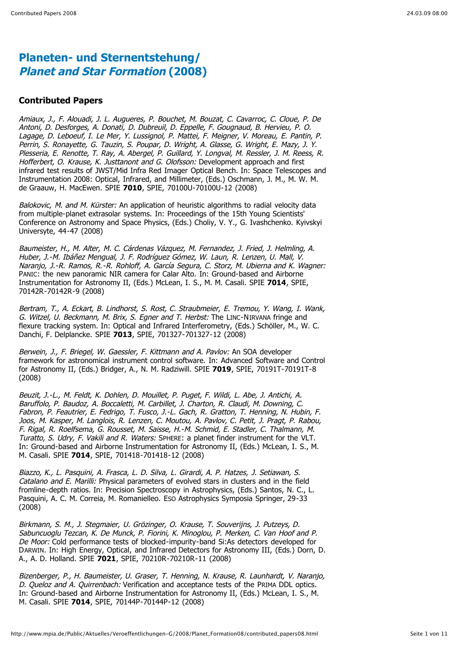#### **Contributed Papers**

Amiaux, J., F. Alouadi, J. L. Augueres, P. Bouchet, M. Bouzat, C. Cavarroc, C. Cloue, P. De Antoni, D. Desforges, A. Donati, D. Dubreuil, D. Eppelle, F. Gougnaud, B. Hervieu, P. O. Lagage, D. Leboeuf, I. Le Mer, Y. Lussignol, P. Mattei, F. Meigner, V. Moreau, E. Pantin, P. Perrin, S. Ronayette, G. Tauzin, S. Poupar, D. Wright, A. Glasse, G. Wright, E. Mazy, J. Y. Plesseria, E. Renotte, T. Ray, A. Abergel, P. Guillard, Y. Longval, M. Ressler, J. M. Reess, R. Hofferbert, O. Krause, K. Justtanont and G. Olofsson: Development approach and first infrared test results of JWST/Mid Infra Red Imager Optical Bench. In: Space Telescopes and Instrumentation 2008: Optical, Infrared, and Millimeter, (Eds.) Oschmann, J. M., M. W. M. de Graauw, H. MacEwen. SPIE **7010**, SPIE, 70100U-70100U-12 (2008)

Balokovic, M. and M. Kürster: An application of heuristic algorithms to radial velocity data from multiple-planet extrasolar systems. In: Proceedings of the 15th Young Scientists' Conference on Astronomy and Space Physics, (Eds.) Choliy, V. Y., G. Ivashchenko. Kyivskyi Universyte, 44-47 (2008)

Baumeister, H., M. Alter, M. C. Cárdenas Vázquez, M. Fernandez, J. Fried, J. Helmling, A. Huber, J.-M. Ibáñez Mengual, J. F. Rodríguez Gómez, W. Laun, R. Lenzen, U. Mall, V. Naranjo, J.-R. Ramos, R.-R. Rohloff, A. García Segura, C. Storz, M. Ubierna and K. Wagner: PANIC: the new panoramic NIR camera for Calar Alto. In: Ground-based and Airborne Instrumentation for Astronomy II, (Eds.) McLean, I. S., M. M. Casali. SPIE **7014**, SPIE, 70142R-70142R-9 (2008)

Bertram, T., A. Eckart, B. Lindhorst, S. Rost, C. Straubmeier, E. Tremou, Y. Wang, I. Wank, G. Witzel, U. Beckmann, M. Brix, S. Egner and T. Herbst: The LINC-NIRVANA fringe and flexure tracking system. In: Optical and Infrared Interferometry, (Eds.) Schöller, M., W. C. Danchi, F. Delplancke. SPIE **7013**, SPIE, 701327-701327-12 (2008)

Berwein, J., F. Briegel, W. Gaessler, F. Kittmann and A. Pavlov: An SOA developer framework for astronomical instrument control software. In: Advanced Software and Control for Astronomy II, (Eds.) Bridger, A., N. M. Radziwill. SPIE **7019**, SPIE, 70191T-70191T-8 (2008)

Beuzit, J.-L., M. Feldt, K. Dohlen, D. Mouillet, P. Puget, F. Wildi, L. Abe, J. Antichi, A. Baruffolo, P. Baudoz, A. Boccaletti, M. Carbillet, J. Charton, R. Claudi, M. Downing, C. Fabron, P. Feautrier, E. Fedrigo, T. Fusco, J.-L. Gach, R. Gratton, T. Henning, N. Hubin, F. Joos, M. Kasper, M. Langlois, R. Lenzen, C. Moutou, A. Pavlov, C. Petit, J. Pragt, P. Rabou, F. Rigal, R. Roelfsema, G. Rousset, M. Saisse, H.-M. Schmid, E. Stadler, C. Thalmann, M. Turatto, S. Udry, F. Vakili and R. Waters: SPHERE: a planet finder instrument for the VLT. In: Ground-based and Airborne Instrumentation for Astronomy II, (Eds.) McLean, I. S., M. M. Casali. SPIE **7014**, SPIE, 701418-701418-12 (2008)

Biazzo, K., L. Pasquini, A. Frasca, L. D. Silva, L. Girardi, A. P. Hatzes, J. Setiawan, S. Catalano and E. Marilli: Physical parameters of evolved stars in clusters and in the field fromline-depth ratios. In: Precision Spectroscopy in Astrophysics, (Eds.) Santos, N. C., L. Pasquini, A. C. M. Correia, M. Romanielleo. ESO Astrophysics Symposia Springer, 29-33 (2008)

Birkmann, S. M., J. Stegmaier, U. Grözinger, O. Krause, T. Souverijns, J. Putzeys, D. Sabuncuoglu Tezcan, K. De Munck, P. Fiorini, K. Minoglou, P. Merken, C. Van Hoof and P. De Moor: Cold performance tests of blocked-impurity-band Si:As detectors developed for DARWIN. In: High Energy, Optical, and Infrared Detectors for Astronomy III, (Eds.) Dorn, D. A., A. D. Holland. SPIE **7021**, SPIE, 70210R-70210R-11 (2008)

Bizenberger, P., H. Baumeister, U. Graser, T. Henning, N. Krause, R. Launhardt, V. Naranjo, D. Queloz and A. Quirrenbach: Verification and acceptance tests of the PRIMA DDL optics. In: Ground-based and Airborne Instrumentation for Astronomy II, (Eds.) McLean, I. S., M. M. Casali. SPIE **7014**, SPIE, 70144P-70144P-12 (2008)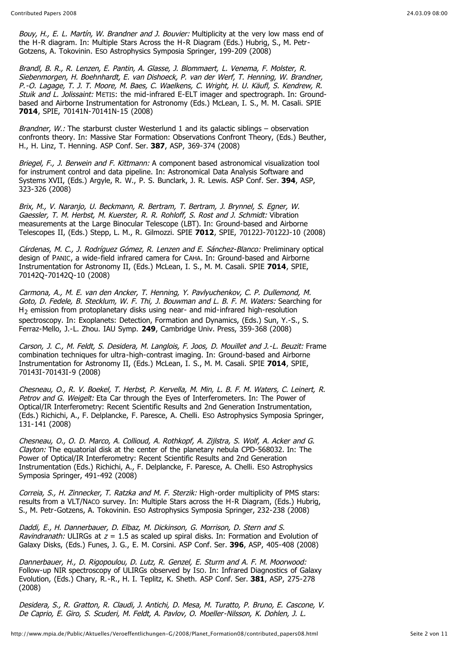Bouy, H., E. L. Martín, W. Brandner and J. Bouvier: Multiplicity at the very low mass end of the H-R diagram. In: Multiple Stars Across the H-R Diagram (Eds.) Hubrig, S., M. Petr-Gotzens, A. Tokovinin. ESO Astrophysics Symposia Springer, 199-209 (2008)

Brandl, B. R., R. Lenzen, E. Pantin, A. Glasse, J. Blommaert, L. Venema, F. Molster, R. Siebenmorgen, H. Boehnhardt, E. van Dishoeck, P. van der Werf, T. Henning, W. Brandner, P.-O. Lagage, T. J. T. Moore, M. Baes, C. Waelkens, C. Wright, H. U. Käufl, S. Kendrew, R. Stuik and L. Jolissaint: METIS: the mid-infrared E-ELT imager and spectrograph. In: Groundbased and Airborne Instrumentation for Astronomy (Eds.) McLean, I. S., M. M. Casali. SPIE **7014**, SPIE, 70141N-70141N-15 (2008)

Brandner, W.: The starburst cluster Westerlund 1 and its galactic siblings – observation confronts theory. In: Massive Star Formation: Observations Confront Theory, (Eds.) Beuther, H., H. Linz, T. Henning. ASP Conf. Ser. **387**, ASP, 369-374 (2008)

Briegel, F., J. Berwein and F. Kittmann: A component based astronomical visualization tool for instrument control and data pipeline. In: Astronomical Data Analysis Software and Systems XVII, (Eds.) Argyle, R. W., P. S. Bunclark, J. R. Lewis. ASP Conf. Ser. **394**, ASP, 323-326 (2008)

Brix, M., V. Naranjo, U. Beckmann, R. Bertram, T. Bertram, J. Brynnel, S. Egner, W. Gaessler, T. M. Herbst, M. Kuerster, R. R. Rohloff, S. Rost and J. Schmidt: Vibration measurements at the Large Binocular Telescope (LBT). In: Ground-based and Airborne Telescopes II, (Eds.) Stepp, L. M., R. Gilmozzi. SPIE **7012**, SPIE, 70122J-70122J-10 (2008)

Cárdenas, M. C., J. Rodríguez Gómez, R. Lenzen and E. Sánchez-Blanco: Preliminary optical design of PANIC, a wide-field infrared camera for CAHA. In: Ground-based and Airborne Instrumentation for Astronomy II, (Eds.) McLean, I. S., M. M. Casali. SPIE **7014**, SPIE, 70142Q-70142Q-10 (2008)

Carmona, A., M. E. van den Ancker, T. Henning, Y. Pavlyuchenkov, C. P. Dullemond, M. Goto, D. Fedele, B. Stecklum, W. F. Thi, J. Bouwman and L. B. F. M. Waters: Searching for H2 emission from protoplanetary disks using near- and mid-infrared high-resolution spectroscopy. In: Exoplanets: Detection, Formation and Dynamics, (Eds.) Sun. Y.-S., S. Ferraz-Mello, J.-L. Zhou. IAU Symp. **249**, Cambridge Univ. Press, 359-368 (2008)

Carson, J. C., M. Feldt, S. Desidera, M. Langlois, F. Joos, D. Mouillet and J.-L. Beuzit: Frame combination techniques for ultra-high-contrast imaging. In: Ground-based and Airborne Instrumentation for Astronomy II, (Eds.) McLean, I. S., M. M. Casali. SPIE **7014**, SPIE, 70143I-70143I-9 (2008)

Chesneau, O., R. V. Boekel, T. Herbst, P. Kervella, M. Min, L. B. F. M. Waters, C. Leinert, R. Petrov and G. Weigelt: Eta Car through the Eves of Interferometers. In: The Power of Optical/IR Interferometry: Recent Scientific Results and 2nd Generation Instrumentation, (Eds.) Richichi, A., F. Delplancke, F. Paresce, A. Chelli. ESO Astrophysics Symposia Springer, 131-141 (2008)

Chesneau, O., O. D. Marco, A. Collioud, A. Rothkopf, A. Zijlstra, S. Wolf, A. Acker and G. Clayton: The equatorial disk at the center of the planetary nebula CPD-568032. In: The Power of Optical/IR Interferometry: Recent Scientific Results and 2nd Generation Instrumentation (Eds.) Richichi, A., F. Delplancke, F. Paresce, A. Chelli. ESO Astrophysics Symposia Springer, 491-492 (2008)

Correia, S., H. Zinnecker, T. Ratzka and M. F. Sterzik: High-order multiplicity of PMS stars: results from a VLT/NACO survey. In: Multiple Stars across the H-R Diagram, (Eds.) Hubrig, S., M. Petr-Gotzens, A. Tokovinin. ESO Astrophysics Symposia Springer, 232-238 (2008)

Daddi, E., H. Dannerbauer, D. Elbaz, M. Dickinson, G. Morrison, D. Stern and S. Ravindranath: ULIRGs at  $z = 1.5$  as scaled up spiral disks. In: Formation and Evolution of Galaxy Disks, (Eds.) Funes, J. G., E. M. Corsini. ASP Conf. Ser. **396**, ASP, 405-408 (2008)

Dannerbauer, H., D. Rigopoulou, D. Lutz, R. Genzel, E. Sturm and A. F. M. Moorwood: Follow-up NIR spectroscopy of ULIRGs observed by ISO. In: Infrared Diagnostics of Galaxy Evolution, (Eds.) Chary, R.-R., H. I. Teplitz, K. Sheth. ASP Conf. Ser. **381**, ASP, 275-278 (2008)

Desidera, S., R. Gratton, R. Claudi, J. Antichi, D. Mesa, M. Turatto, P. Bruno, E. Cascone, V. De Caprio, E. Giro, S. Scuderi, M. Feldt, A. Pavlov, O. Moeller-Nilsson, K. Dohlen, J. L.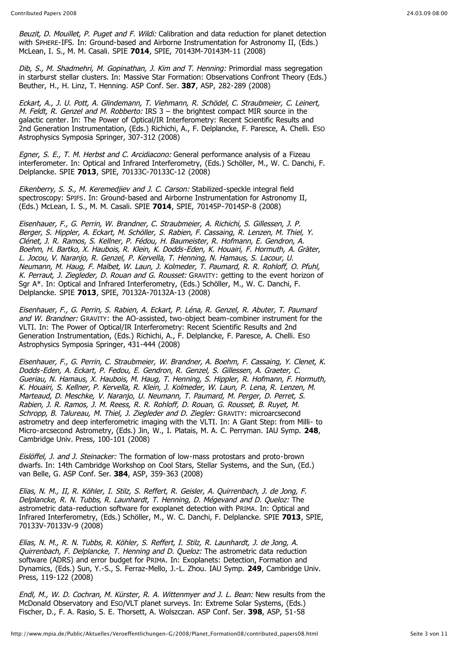Beuzit, D. Mouillet, P. Puget and F. Wildi: Calibration and data reduction for planet detection with SPHERE-IFS. In: Ground-based and Airborne Instrumentation for Astronomy II, (Eds.) McLean, I. S., M. M. Casali. SPIE **7014**, SPIE, 70143M-70143M-11 (2008)

Dib, S., M. Shadmehri, M. Gopinathan, J. Kim and T. Henning: Primordial mass segregation in starburst stellar clusters. In: Massive Star Formation: Observations Confront Theory (Eds.) Beuther, H., H. Linz, T. Henning. ASP Conf. Ser. **387**, ASP, 282-289 (2008)

Eckart, A., J. U. Pott, A. Glindemann, T. Viehmann, R. Schödel, C. Straubmeier, C. Leinert, M. Feldt, R. Genzel and M. Robberto: IRS  $3$  – the brightest compact MIR source in the galactic center. In: The Power of Optical/IR Interferometry: Recent Scientific Results and 2nd Generation Instrumentation, (Eds.) Richichi, A., F. Delplancke, F. Paresce, A. Chelli. ESO Astrophysics Symposia Springer, 307-312 (2008)

Egner, S. E., T. M. Herbst and C. Arcidiacono: General performance analysis of a Fizeau interferometer. In: Optical and Infrared Interferometry, (Eds.) Schöller, M., W. C. Danchi, F. Delplancke. SPIE **7013**, SPIE, 70133C-70133C-12 (2008)

Eikenberry, S. S., M. Keremedjiev and J. C. Carson: Stabilized-speckle integral field spectroscopy: SPIFS. In: Ground-based and Airborne Instrumentation for Astronomy II, (Eds.) McLean, I. S., M. M. Casali. SPIE **7014**, SPIE, 70145P-70145P-8 (2008)

Eisenhauer, F., G. Perrin, W. Brandner, C. Straubmeier, A. Richichi, S. Gillessen, J. P. Berger, S. Hippler, A. Eckart, M. Schöller, S. Rabien, F. Cassaing, R. Lenzen, M. Thiel, Y. Clénet, J. R. Ramos, S. Kellner, P. Fédou, H. Baumeister, R. Hofmann, E. Gendron, A. Boehm, H. Bartko, X. Haubois, R. Klein, K. Dodds-Eden, K. Houairi, F. Hormuth, A. Gräter, L. Jocou, V. Naranjo, R. Genzel, P. Kervella, T. Henning, N. Hamaus, S. Lacour, U. Neumann, M. Haug, F. Malbet, W. Laun, J. Kolmeder, T. Paumard, R. R. Rohloff, O. Pfuhl, K. Perraut, J. Ziegleder, D. Rouan and G. Rousset: GRAVITY: getting to the event horizon of Sgr A\*. In: Optical and Infrared Interferometry, (Eds.) Schöller, M., W. C. Danchi, F. Delplancke. SPIE **7013**, SPIE, 70132A-70132A-13 (2008)

Eisenhauer, F., G. Perrin, S. Rabien, A. Eckart, P. Léna, R. Genzel, R. Abuter, T. Paumard and W. Brandner: GRAVITY: the AO-assisted, two-object beam-combiner instrument for the VLTI. In: The Power of Optical/IR Interferometry: Recent Scientific Results and 2nd Generation Instrumentation, (Eds.) Richichi, A., F. Delplancke, F. Paresce, A. Chelli. ESO Astrophysics Symposia Springer, 431-444 (2008)

Eisenhauer, F., G. Perrin, C. Straubmeier, W. Brandner, A. Boehm, F. Cassaing, Y. Clenet, K. Dodds-Eden, A. Eckart, P. Fedou, E. Gendron, R. Genzel, S. Gillessen, A. Graeter, C. Gueriau, N. Hamaus, X. Haubois, M. Haug, T. Henning, S. Hippler, R. Hofmann, F. Hormuth, K. Houairi, S. Kellner, P. Kervella, R. Klein, J. Kolmeder, W. Laun, P. Lena, R. Lenzen, M. Marteaud, D. Meschke, V. Naranjo, U. Neumann, T. Paumard, M. Perger, D. Perret, S. Rabien, J. R. Ramos, J. M. Reess, R. R. Rohloff, D. Rouan, G. Rousset, B. Ruyet, M. Schropp, B. Talureau, M. Thiel, J. Ziegleder and D. Ziegler: GRAVITY: microarcsecond astrometry and deep interferometric imaging with the VLTI. In: A Giant Step: from Milli- to Micro-arcsecond Astrometry, (Eds.) Jin, W., I. Platais, M. A. C. Perryman. IAU Symp. **248**, Cambridge Univ. Press, 100-101 (2008)

Eislöffel, J. and J. Steinacker: The formation of low-mass protostars and proto-brown dwarfs. In: 14th Cambridge Workshop on Cool Stars, Stellar Systems, and the Sun, (Ed.) van Belle, G. ASP Conf. Ser. **384**, ASP, 359-363 (2008)

Elias, N. M., II, R. Köhler, I. Stilz, S. Reffert, R. Geisler, A. Quirrenbach, J. de Jong, F. Delplancke, R. N. Tubbs, R. Launhardt, T. Henning, D. Mégevand and D. Queloz: The astrometric data-reduction software for exoplanet detection with PRIMA. In: Optical and Infrared Interferometry, (Eds.) Schöller, M., W. C. Danchi, F. Delplancke. SPIE **7013**, SPIE, 70133V-70133V-9 (2008)

Elias, N. M., R. N. Tubbs, R. Köhler, S. Reffert, I. Stilz, R. Launhardt, J. de Jong, A. Quirrenbach, F. Delplancke, T. Henning and D. Queloz: The astrometric data reduction software (ADRS) and error budget for PRIMA. In: Exoplanets: Detection, Formation and Dynamics, (Eds.) Sun, Y.-S., S. Ferraz-Mello, J.-L. Zhou. IAU Symp. **249**, Cambridge Univ. Press, 119-122 (2008)

Endl, M., W. D. Cochran, M. Kürster, R. A. Wittenmyer and J. L. Bean: New results from the McDonald Observatory and ESO/VLT planet surveys. In: Extreme Solar Systems, (Eds.) Fischer, D., F. A. Rasio, S. E. Thorsett, A. Wolszczan. ASP Conf. Ser. **398**, ASP, 51-58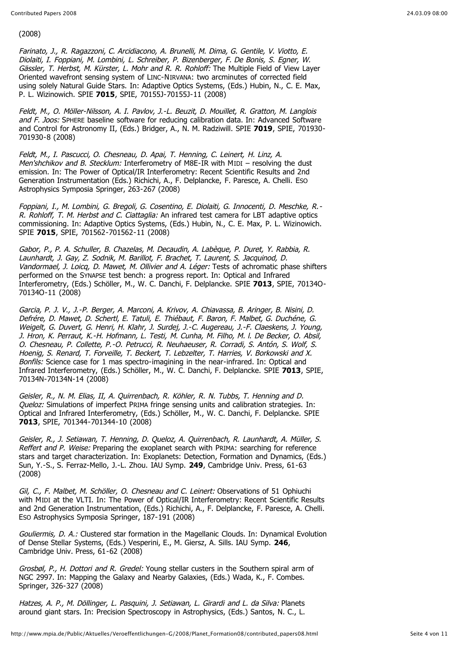(2008)

Farinato, J., R. Ragazzoni, C. Arcidiacono, A. Brunelli, M. Dima, G. Gentile, V. Viotto, E. Diolaiti, I. Foppiani, M. Lombini, L. Schreiber, P. Bizenberger, F. De Bonis, S. Egner, W. Gässler, T. Herbst, M. Kürster, L. Mohr and R. R. Rohloff: The Multiple Field of View Layer Oriented wavefront sensing system of LINC-NIRVANA: two arcminutes of corrected field using solely Natural Guide Stars. In: Adaptive Optics Systems, (Eds.) Hubin, N., C. E. Max, P. L. Wizinowich. SPIE **7015**, SPIE, 70155J-70155J-11 (2008)

Feldt, M., O. Möller-Nilsson, A. I. Pavlov, J.-L. Beuzit, D. Mouillet, R. Gratton, M. Langlois and F. Joos: SPHERE baseline software for reducing calibration data. In: Advanced Software and Control for Astronomy II, (Eds.) Bridger, A., N. M. Radziwill. SPIE **7019**, SPIE, 701930- 701930-8 (2008)

Feldt, M., I. Pascucci, O. Chesneau, D. Apai, T. Henning, C. Leinert, H. Linz, A. Men'shchikov and B. Stecklum: Interferometry of M8E-IR with MIDI – resolving the dust emission. In: The Power of Optical/IR Interferometry: Recent Scientific Results and 2nd Generation Instrumentation (Eds.) Richichi, A., F. Delplancke, F. Paresce, A. Chelli. ESO Astrophysics Symposia Springer, 263-267 (2008)

Foppiani, I., M. Lombini, G. Bregoli, G. Cosentino, E. Diolaiti, G. Innocenti, D. Meschke, R.- R. Rohloff, T. M. Herbst and C. Ciattaglia: An infrared test camera for LBT adaptive optics commissioning. In: Adaptive Optics Systems, (Eds.) Hubin, N., C. E. Max, P. L. Wizinowich. SPIE **7015**, SPIE, 701562-701562-11 (2008)

Gabor, P., P. A. Schuller, B. Chazelas, M. Decaudin, A. Labèque, P. Duret, Y. Rabbia, R. Launhardt, J. Gay, Z. Sodnik, M. Barillot, F. Brachet, T. Laurent, S. Jacquinod, D. Vandormael, J. Loica, D. Mawet, M. Ollivier and A. Léger: Tests of achromatic phase shifters performed on the SYNAPSE test bench: a progress report. In: Optical and Infrared Interferometry, (Eds.) Schöller, M., W. C. Danchi, F. Delplancke. SPIE **7013**, SPIE, 70134O-70134O-11 (2008)

Garcia, P. J. V., J.-P. Berger, A. Marconi, A. Krivov, A. Chiavassa, B. Aringer, B. Nisini, D. Defrére, D. Mawet, D. Schertl, E. Tatuli, E. Thiébaut, F. Baron, F. Malbet, G. Duchéne, G. Weigelt, G. Duvert, G. Henri, H. Klahr, J. Surdej, J.-C. Augereau, J.-F. Claeskens, J. Young, J. Hron, K. Perraut, K.-H. Hofmann, L. Testi, M. Cunha, M. Filho, M. l. De Becker, O. Absil, O. Chesneau, P. Collette, P.-O. Petrucci, R. Neuhaeuser, R. Corradi, S. Antón, S. Wolf, S. Hoenig, S. Renard, T. Forveille, T. Beckert, T. Lebzelter, T. Harries, V. Borkowski and X. Bonfils: Science case for 1 mas spectro-imagining in the near-infrared. In: Optical and Infrared Interferometry, (Eds.) Schöller, M., W. C. Danchi, F. Delplancke. SPIE **7013**, SPIE, 70134N-70134N-14 (2008)

Geisler, R., N. M. Elias, II, A. Quirrenbach, R. Köhler, R. N. Tubbs, T. Henning and D. Queloz: Simulations of imperfect PRIMA fringe sensing units and calibration strategies. In: Optical and Infrared Interferometry, (Eds.) Schöller, M., W. C. Danchi, F. Delplancke. SPIE **7013**, SPIE, 701344-701344-10 (2008)

Geisler, R., J. Setiawan, T. Henning, D. Queloz, A. Quirrenbach, R. Launhardt, A. Müller, S. Reffert and P. Weise: Preparing the exoplanet search with PRIMA: searching for reference stars and target characterization. In: Exoplanets: Detection, Formation and Dynamics, (Eds.) Sun, Y.-S., S. Ferraz-Mello, J.-L. Zhou. IAU Symp. **249**, Cambridge Univ. Press, 61-63 (2008)

Gil, C., F. Malbet, M. Schöller, O. Chesneau and C. Leinert: Observations of 51 Ophiuchi with MIDI at the VLTI. In: The Power of Optical/IR Interferometry: Recent Scientific Results and 2nd Generation Instrumentation, (Eds.) Richichi, A., F. Delplancke, F. Paresce, A. Chelli. ESO Astrophysics Symposia Springer, 187-191 (2008)

Gouliermis, D. A.: Clustered star formation in the Magellanic Clouds. In: Dynamical Evolution of Dense Stellar Systems, (Eds.) Vesperini, E., M. Giersz, A. Sills. IAU Symp. **246**, Cambridge Univ. Press, 61-62 (2008)

Grosbøl, P., H. Dottori and R. Gredel: Young stellar custers in the Southern spiral arm of NGC 2997. In: Mapping the Galaxy and Nearby Galaxies, (Eds.) Wada, K., F. Combes. Springer, 326-327 (2008)

Hatzes, A. P., M. Döllinger, L. Pasquini, J. Setiawan, L. Girardi and L. da Silva: Planets around giant stars. In: Precision Spectroscopy in Astrophysics, (Eds.) Santos, N. C., L.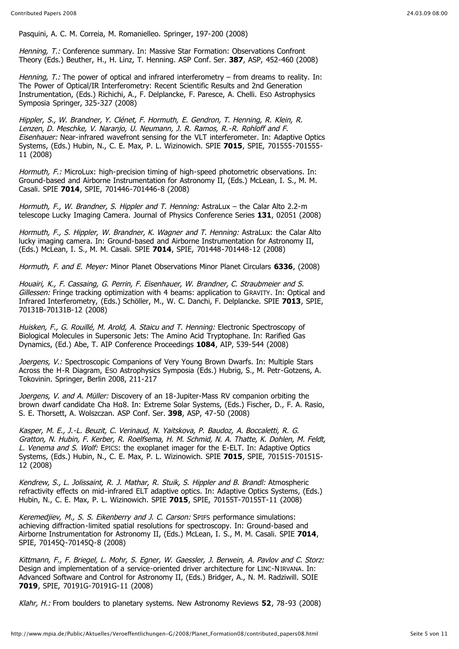Pasquini, A. C. M. Correia, M. Romanielleo. Springer, 197-200 (2008)

Henning, T.: Conference summary. In: Massive Star Formation: Observations Confront Theory (Eds.) Beuther, H., H. Linz, T. Henning. ASP Conf. Ser. **387**, ASP, 452-460 (2008)

Henning, T.: The power of optical and infrared interferometry – from dreams to reality. In: The Power of Optical/IR Interferometry: Recent Scientific Results and 2nd Generation Instrumentation, (Eds.) Richichi, A., F. Delplancke, F. Paresce, A. Chelli. ESO Astrophysics Symposia Springer, 325-327 (2008)

Hippler, S., W. Brandner, Y. Clénet, F. Hormuth, E. Gendron, T. Henning, R. Klein, R. Lenzen, D. Meschke, V. Naranjo, U. Neumann, J. R. Ramos, R.-R. Rohloff and F. Eisenhauer: Near-infrared wavefront sensing for the VLT interferometer. In: Adaptive Optics Systems, (Eds.) Hubin, N., C. E. Max, P. L. Wizinowich. SPIE **7015**, SPIE, 701555-701555- 11 (2008)

Hormuth, F.: MicroLux: high-precision timing of high-speed photometric observations. In: Ground-based and Airborne Instrumentation for Astronomy II, (Eds.) McLean, I. S., M. M. Casali. SPIE **7014**, SPIE, 701446-701446-8 (2008)

Hormuth, F., W. Brandner, S. Hippler and T. Henning: AstraLux - the Calar Alto 2.2-m telescope Lucky Imaging Camera. Journal of Physics Conference Series **131**, 02051 (2008)

Hormuth, F., S. Hippler, W. Brandner, K. Wagner and T. Henning: AstraLux: the Calar Alto lucky imaging camera. In: Ground-based and Airborne Instrumentation for Astronomy II, (Eds.) McLean, I. S., M. M. Casali. SPIE **7014**, SPIE, 701448-701448-12 (2008)

Hormuth, F. and E. Meyer: Minor Planet Observations Minor Planet Circulars **6336**, (2008)

Houairi, K., F. Cassaing, G. Perrin, F. Eisenhauer, W. Brandner, C. Straubmeier and S. Gillessen: Fringe tracking optimization with 4 beams: application to GRAVITY. In: Optical and Infrared Interferometry, (Eds.) Schöller, M., W. C. Danchi, F. Delplancke. SPIE **7013**, SPIE, 70131B-70131B-12 (2008)

Huisken, F., G. Rouillé, M. Arold, A. Staicu and T. Henning: Electronic Spectroscopy of Biological Molecules in Supersonic Jets: The Amino Acid Tryptophane. In: Rarified Gas Dynamics, (Ed.) Abe, T. AIP Conference Proceedings **1084**, AIP, 539-544 (2008)

Joergens, V.: Spectroscopic Companions of Very Young Brown Dwarfs. In: Multiple Stars Across the H-R Diagram, ESO Astrophysics Symposia (Eds.) Hubrig, S., M. Petr-Gotzens, A. Tokovinin. Springer, Berlin 2008, 211-217

Joergens, V. and A. Müller: Discovery of an 18-Jupiter-Mass RV companion orbiting the brown dwarf candidate Cha Hq8. In: Extreme Solar Systems, (Eds.) Fischer, D., F. A. Rasio, S. E. Thorsett, A. Wolszczan. ASP Conf. Ser. **398**, ASP, 47-50 (2008)

Kasper, M. E., J.-L. Beuzit, C. Verinaud, N. Yaitskova, P. Baudoz, A. Boccaletti, R. G. Gratton, N. Hubin, F. Kerber, R. Roelfsema, H. M. Schmid, N. A. Thatte, K. Dohlen, M. Feldt, L. Venema and S. Wolf: EPICS: the exoplanet imager for the E-ELT. In: Adaptive Optics Systems, (Eds.) Hubin, N., C. E. Max, P. L. Wizinowich. SPIE **7015**, SPIE, 70151S-70151S-12 (2008)

Kendrew, S., L. Jolissaint, R. J. Mathar, R. Stuik, S. Hippler and B. Brandl: Atmospheric refractivity effects on mid-infrared ELT adaptive optics. In: Adaptive Optics Systems, (Eds.) Hubin, N., C. E. Max, P. L. Wizinowich. SPIE **7015**, SPIE, 70155T-70155T-11 (2008)

Keremedjiev, M., S. S. Eikenberry and J. C. Carson: SPIFS performance simulations: achieving diffraction-limited spatial resolutions for spectroscopy. In: Ground-based and Airborne Instrumentation for Astronomy II, (Eds.) McLean, I. S., M. M. Casali. SPIE **7014**, SPIE, 70145Q-70145Q-8 (2008)

Kittmann, F., F. Briegel, L. Mohr, S. Egner, W. Gaessler, J. Berwein, A. Pavlov and C. Storz: Design and implementation of a service-oriented driver architecture for LINC-NIRVANA. In: Advanced Software and Control for Astronomy II, (Eds.) Bridger, A., N. M. Radziwill. SOIE **7019**, SPIE, 70191G-70191G-11 (2008)

Klahr, H.: From boulders to planetary systems. New Astronomy Reviews **52**, 78-93 (2008)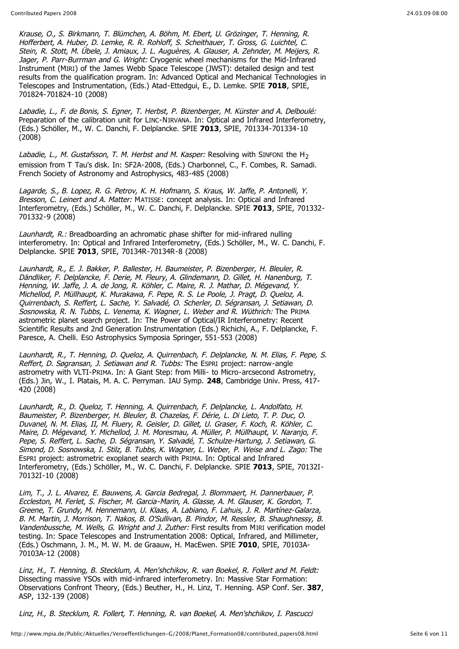Krause, O., S. Birkmann, T. Blümchen, A. Böhm, M. Ebert, U. Grözinger, T. Henning, R. Hofferbert, A. Huber, D. Lemke, R. R. Rohloff, S. Scheithauer, T. Gross, G. Luichtel, C. Stein, R. Stott, M. Übele, J. Amiaux, J. L. Auguères, A. Glauser, A. Zehnder, M. Meijers, R. Jager, P. Parr-Burrman and G. Wright: Cryogenic wheel mechanisms for the Mid-Infrared Instrument (MIRI) of the James Webb Space Telescope (JWST): detailed design and test results from the qualification program. In: Advanced Optical and Mechanical Technologies in Telescopes and Instrumentation, (Eds.) Atad-Ettedgui, E., D. Lemke. SPIE **7018**, SPIE, 701824-701824-10 (2008)

Labadie, L., F. de Bonis, S. Egner, T. Herbst, P. Bizenberger, M. Kürster and A. Delboulé: Preparation of the calibration unit for LINC-NIRVANA. In: Optical and Infrared Interferometry, (Eds.) Schöller, M., W. C. Danchi, F. Delplancke. SPIE **7013**, SPIE, 701334-701334-10 (2008)

Labadie, L., M. Gustafsson, T. M. Herbst and M. Kasper: Resolving with SINFONI the H<sub>2</sub> emission from T Tau's disk. In: SF2A-2008, (Eds.) Charbonnel, C., F. Combes, R. Samadi. French Society of Astronomy and Astrophysics, 483-485 (2008)

Lagarde, S., B. Lopez, R. G. Petrov, K. H. Hofmann, S. Kraus, W. Jaffe, P. Antonelli, Y. Bresson, C. Leinert and A. Matter: MATISSE: concept analysis. In: Optical and Infrared Interferometry, (Eds.) Schöller, M., W. C. Danchi, F. Delplancke. SPIE **7013**, SPIE, 701332- 701332-9 (2008)

Launhardt, R.: Breadboarding an achromatic phase shifter for mid-infrared nulling interferometry. In: Optical and Infrared Interferometry, (Eds.) Schöller, M., W. C. Danchi, F. Delplancke. SPIE **7013**, SPIE, 70134R-70134R-8 (2008)

Launhardt, R., E. J. Bakker, P. Ballester, H. Baumeister, P. Bizenberger, H. Bleuler, R. Dändliker, F. Delplancke, F. Derie, M. Fleury, A. Glindemann, D. Gillet, H. Hanenburg, T. Henning, W. Jaffe, J. A. de Jong, R. Köhler, C. Maire, R. J. Mathar, D. Mégevand, Y. Michellod, P. Müllhaupt, K. Murakawa, F. Pepe, R. S. Le Poole, J. Pragt, D. Queloz, A. Quirrenbach, S. Reffert, L. Sache, Y. Salvadé, O. Scherler, D. Ségransan, J. Setiawan, D. Sosnowska, R. N. Tubbs, L. Venema, K. Wagner, L. Weber and R. Wüthrich: The PRIMA astrometric planet search project. In: The Power of Optical/IR Interferometry: Recent Scientific Results and 2nd Generation Instrumentation (Eds.) Richichi, A., F. Delplancke, F. Paresce, A. Chelli. ESO Astrophysics Symposia Springer, 551-553 (2008)

Launhardt, R., T. Henning, D. Queloz, A. Quirrenbach, F. Delplancke, N. M. Elias, F. Pepe, S. Reffert, D. Søgransan, J. Setiawan and R. Tubbs: The ESPRI project: narrow-angle astrometry with VLTI-PRIMA. In: A Giant Step: from Milli- to Micro-arcsecond Astrometry, (Eds.) Jin, W., I. Platais, M. A. C. Perryman. IAU Symp. **248**, Cambridge Univ. Press, 417- 420 (2008)

Launhardt, R., D. Queloz, T. Henning, A. Quirrenbach, F. Delplancke, L. Andolfato, H. Baumeister, P. Bizenberger, H. Bleuler, B. Chazelas, F. Dérie, L. Di Lieto, T. P. Duc, O. Duvanel, N. M. Elias, II, M. Fluery, R. Geisler, D. Gillet, U. Graser, F. Koch, R. Köhler, C. Maire, D. Mégevand, Y. Michellod, J. M. Moresmau, A. Müller, P. Müllhaupt, V. Naranjo, F. Pepe, S. Reffert, L. Sache, D. Ségransan, Y. Salvadé, T. Schulze-Hartung, J. Setiawan, G. Simond, D. Sosnowska, I. Stilz, B. Tubbs, K. Wagner, L. Weber, P. Weise and L. Zago: The ESPRI project: astrometric exoplanet search with PRIMA. In: Optical and Infrared Interferometry, (Eds.) Schöller, M., W. C. Danchi, F. Delplancke. SPIE **7013**, SPIE, 70132I-70132I-10 (2008)

Lim, T., J. L. Alvarez, E. Bauwens, A. Garcia Bedregal, J. Blommaert, H. Dannerbauer, P. Eccleston, M. Ferlet, S. Fischer, M. Garcia-Marin, A. Glasse, A. M. Glauser, K. Gordon, T. Greene, T. Grundy, M. Hennemann, U. Klaas, A. Labiano, F. Lahuis, J. R. Martínez-Galarza, B. M. Martin, J. Morrison, T. Nakos, B. O'Sullivan, B. Pindor, M. Ressler, B. Shaughnessy, B. Vandenbussche, M. Wells, G. Wright and J. Zuther: First results from MIRI verification model testing. In: Space Telescopes and Instrumentation 2008: Optical, Infrared, and Millimeter, (Eds.) Oschmann, J. M., M. W. M. de Graauw, H. MacEwen. SPIE **7010**, SPIE, 70103A-70103A-12 (2008)

Linz, H., T. Henning, B. Stecklum, A. Men'shchikov, R. van Boekel, R. Follert and M. Feldt: Dissecting massive YSOs with mid-infrared interferometry. In: Massive Star Formation: Observations Confront Theory, (Eds.) Beuther, H., H. Linz, T. Henning. ASP Conf. Ser. **387**, ASP, 132-139 (2008)

Linz, H., B. Stecklum, R. Follert, T. Henning, R. van Boekel, A. Men'shchikov, I. Pascucci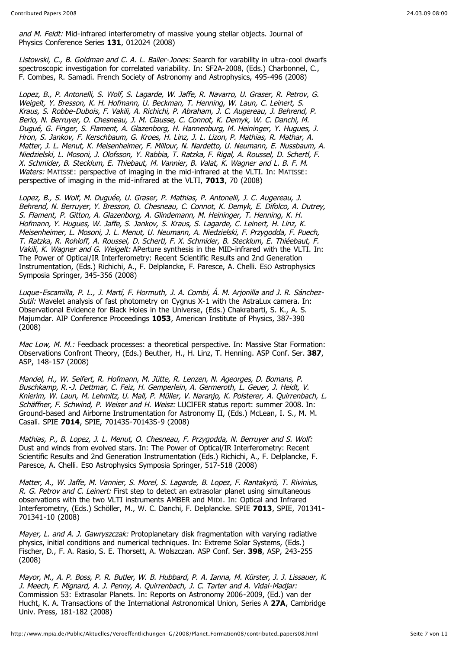and M. Feldt: Mid-infrared interferometry of massive young stellar objects. Journal of Physics Conference Series **131**, 012024 (2008)

Listowski, C., B. Goldman and C. A. L. Bailer-Jones: Search for varability in ultra-cool dwarfs spectroscopic investigation for correlated variability. In: SF2A-2008, (Eds.) Charbonnel, C., F. Combes, R. Samadi. French Society of Astronomy and Astrophysics, 495-496 (2008)

Lopez, B., P. Antonelli, S. Wolf, S. Lagarde, W. Jaffe, R. Navarro, U. Graser, R. Petrov, G. Weigelt, Y. Bresson, K. H. Hofmann, U. Beckman, T. Henning, W. Laun, C. Leinert, S. Kraus, S. Robbe-Dubois, F. Vakili, A. Richichi, P. Abraham, J. C. Augereau, J. Behrend, P. Berio, N. Berruyer, O. Chesneau, J. M. Clausse, C. Connot, K. Demyk, W. C. Danchi, M. Dugué, G. Finger, S. Flament, A. Glazenborg, H. Hannenburg, M. Heininger, Y. Hugues, J. Hron, S. Jankov, F. Kerschbaum, G. Kroes, H. Linz, J. L. Lizon, P. Mathias, R. Mathar, A. Matter, J. L. Menut, K. Meisenheimer, F. Millour, N. Nardetto, U. Neumann, E. Nussbaum, A. Niedzielski, L. Mosoni, J. Olofsson, Y. Rabbia, T. Ratzka, F. Rigal, A. Roussel, D. Schertl, F. X. Schmider, B. Stecklum, E. Thiebaut, M. Vannier, B. Valat, K. Wagner and L. B. F. M. Waters: MATISSE: perspective of imaging in the mid-infrared at the VLTI. In: MATISSE: perspective of imaging in the mid-infrared at the VLTI, **7013**, 70 (2008)

Lopez, B., S. Wolf, M. Duguée, U. Graser, P. Mathias, P. Antonelli, J. C. Augereau, J. Behrend, N. Berruyer, Y. Bresson, O. Chesneau, C. Connot, K. Demyk, E. Difolco, A. Dutrey, S. Flament, P. Gitton, A. Glazenborg, A. Glindemann, M. Heininger, T. Henning, K. H. Hofmann, Y. Hugues, W. Jaffe, S. Jankov, S. Kraus, S. Lagarde, C. Leinert, H. Linz, K. Meisenheimer, L. Mosoni, J. L. Menut, U. Neumann, A. Niedzielski, F. Przygodda, F. Puech, T. Ratzka, R. Rohloff, A. Roussel, D. Schertl, F. X. Schmider, B. Stecklum, E. Thiéebaut, F. Vakili, K. Wagner and G. Weigelt: APerture synthesis in the MID-infrared with the VLTI. In: The Power of Optical/IR Interferometry: Recent Scientific Results and 2nd Generation Instrumentation, (Eds.) Richichi, A., F. Delplancke, F. Paresce, A. Chelli. ESO Astrophysics Symposia Springer, 345-356 (2008)

Luque-Escamilla, P. L., J. Martí, F. Hormuth, J. A. Combi, Á. M. Arjonilla and J. R. Sánchez-Sutil: Wavelet analysis of fast photometry on Cygnus X-1 with the AstraLux camera. In: Observational Evidence for Black Holes in the Universe, (Eds.) Chakrabarti, S. K., A. S. Majumdar. AIP Conference Proceedings **1053**, American Institute of Physics, 387-390 (2008)

Mac Low, M. M.: Feedback processes: a theoretical perspective. In: Massive Star Formation: Observations Confront Theory, (Eds.) Beuther, H., H. Linz, T. Henning. ASP Conf. Ser. **387**, ASP, 148-157 (2008)

Mandel, H., W. Seifert, R. Hofmann, M. Jütte, R. Lenzen, N. Ageorges, D. Bomans, P. Buschkamp, R.-J. Dettmar, C. Feiz, H. Gemperlein, A. Germeroth, L. Geuer, J. Heidt, V. Knierim, W. Laun, M. Lehmitz, U. Mall, P. Müller, V. Naranjo, K. Polsterer, A. Quirrenbach, L. Schäffner, F. Schwind, P. Weiser and H. Weisz; LUCIFER status report: summer 2008. In: Ground-based and Airborne Instrumentation for Astronomy II, (Eds.) McLean, I. S., M. M. Casali. SPIE **7014**, SPIE, 70143S-70143S-9 (2008)

Mathias, P., B. Lopez, J. L. Menut, O. Chesneau, F. Przygodda, N. Berruyer and S. Wolf: Dust and winds from evolved stars. In: The Power of Optical/IR Interferometry: Recent Scientific Results and 2nd Generation Instrumentation (Eds.) Richichi, A., F. Delplancke, F. Paresce, A. Chelli. ESO Astrophysics Symposia Springer, 517-518 (2008)

Matter, A., W. Jaffe, M. Vannier, S. Morel, S. Lagarde, B. Lopez, F. Rantakyrö, T. Rivinius, R. G. Petrov and C. Leinert: First step to detect an extrasolar planet using simultaneous observations with the two VLTI instruments AMBER and MIDI. In: Optical and Infrared Interferometry, (Eds.) Schöller, M., W. C. Danchi, F. Delplancke. SPIE **7013**, SPIE, 701341- 701341-10 (2008)

Mayer, L. and A. J. Gawryszczak: Protoplanetary disk fragmentation with varying radiative physics, initial conditions and numerical techniques. In: Extreme Solar Systems, (Eds.) Fischer, D., F. A. Rasio, S. E. Thorsett, A. Wolszczan. ASP Conf. Ser. **398**, ASP, 243-255 (2008)

Mayor, M., A. P. Boss, P. R. Butler, W. B. Hubbard, P. A. Ianna, M. Kürster, J. J. Lissauer, K. J. Meech, F. Mignard, A. J. Penny, A. Quirrenbach, J. C. Tarter and A. Vidal-Madjar: Commission 53: Extrasolar Planets. In: Reports on Astronomy 2006-2009, (Ed.) van der Hucht, K. A. Transactions of the International Astronomical Union, Series A **27A**, Cambridge Univ. Press, 181-182 (2008)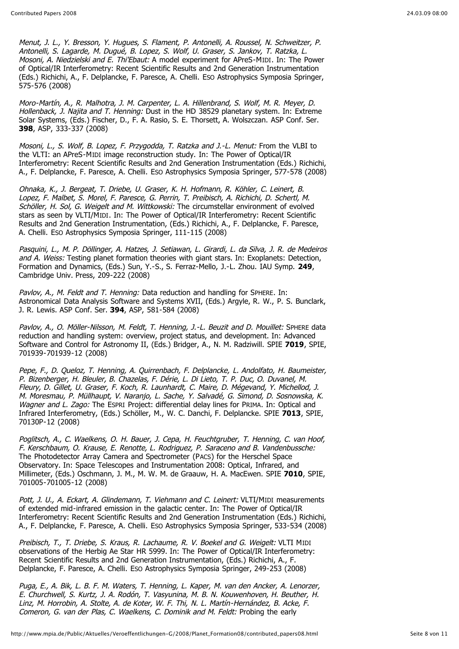Menut, J. L., Y. Bresson, Y. Hugues, S. Flament, P. Antonelli, A. Roussel, N. Schweitzer, P. Antonelli, S. Lagarde, M. Dugué, B. Lopez, S. Wolf, U. Graser, S. Jankov, T. Ratzka, L. Mosoni, A. Niedzielski and E. Thi'Ebaut: A model experiment for APreS-MIDI. In: The Power of Optical/IR Interferometry: Recent Scientific Results and 2nd Generation Instrumentation (Eds.) Richichi, A., F. Delplancke, F. Paresce, A. Chelli. ESO Astrophysics Symposia Springer, 575-576 (2008)

Moro-Martín, A., R. Malhotra, J. M. Carpenter, L. A. Hillenbrand, S. Wolf, M. R. Meyer, D. Hollenback, J. Najita and T. Henning: Dust in the HD 38529 planetary system. In: Extreme Solar Systems, (Eds.) Fischer, D., F. A. Rasio, S. E. Thorsett, A. Wolszczan. ASP Conf. Ser. **398**, ASP, 333-337 (2008)

Mosoni, L., S. Wolf, B. Lopez, F. Przygodda, T. Ratzka and J.-L. Menut: From the VLBI to the VLTI: an APreS-MIDI image reconstruction study. In: The Power of Optical/IR Interferometry: Recent Scientific Results and 2nd Generation Instrumentation (Eds.) Richichi, A., F. Delplancke, F. Paresce, A. Chelli. ESO Astrophysics Symposia Springer, 577-578 (2008)

Ohnaka, K., J. Bergeat, T. Driebe, U. Graser, K. H. Hofmann, R. Köhler, C. Leinert, B. Lopez, F. Malbet, S. Morel, F. Paresce, G. Perrin, T. Preibisch, A. Richichi, D. Schertl, M. Schöller, H. Sol, G. Weigelt and M. Wittkowski: The circumstellar environment of evolved stars as seen by VLTI/MIDI. In: The Power of Optical/IR Interferometry: Recent Scientific Results and 2nd Generation Instrumentation, (Eds.) Richichi, A., F. Delplancke, F. Paresce, A. Chelli. ESO Astrophysics Symposia Springer, 111-115 (2008)

Pasquini, L., M. P. Döllinger, A. Hatzes, J. Setiawan, L. Girardi, L. da Silva, J. R. de Medeiros and A. Weiss: Testing planet formation theories with giant stars. In: Exoplanets: Detection, Formation and Dynamics, (Eds.) Sun, Y.-S., S. Ferraz-Mello, J.-L. Zhou. IAU Symp. **249**, Cambridge Univ. Press, 209-222 (2008)

Pavlov, A., M. Feldt and T. Henning: Data reduction and handling for SPHERE. In: Astronomical Data Analysis Software and Systems XVII, (Eds.) Argyle, R. W., P. S. Bunclark, J. R. Lewis. ASP Conf. Ser. **394**, ASP, 581-584 (2008)

Pavlov, A., O. Möller-Nilsson, M. Feldt, T. Henning, J.-L. Beuzit and D. Mouillet: SPHERE data reduction and handling system: overview, project status, and development. In: Advanced Software and Control for Astronomy II, (Eds.) Bridger, A., N. M. Radziwill. SPIE **7019**, SPIE, 701939-701939-12 (2008)

Pepe, F., D. Queloz, T. Henning, A. Quirrenbach, F. Delplancke, L. Andolfato, H. Baumeister, P. Bizenberger, H. Bleuler, B. Chazelas, F. Dérie, L. Di Lieto, T. P. Duc, O. Duvanel, M. Fleury, D. Gillet, U. Graser, F. Koch, R. Launhardt, C. Maire, D. Mégevand, Y. Michellod, J. M. Moresmau, P. Müllhaupt, V. Naranjo, L. Sache, Y. Salvadé, G. Simond, D. Sosnowska, K. Wagner and L. Zago: The ESPRI Project: differential delay lines for PRIMA. In: Optical and Infrared Interferometry, (Eds.) Schöller, M., W. C. Danchi, F. Delplancke. SPIE **7013**, SPIE, 70130P-12 (2008)

Poglitsch, A., C. Waelkens, O. H. Bauer, J. Cepa, H. Feuchtgruber, T. Henning, C. van Hoof, F. Kerschbaum, O. Krause, E. Renotte, L. Rodriguez, P. Saraceno and B. Vandenbussche: The Photodetector Array Camera and Spectrometer (PACS) for the Herschel Space Observatory. In: Space Telescopes and Instrumentation 2008: Optical, Infrared, and Millimeter, (Eds.) Oschmann, J. M., M. W. M. de Graauw, H. A. MacEwen. SPIE **7010**, SPIE, 701005-701005-12 (2008)

Pott, J. U., A. Eckart, A. Glindemann, T. Viehmann and C. Leinert: VLTI/MIDI measurements of extended mid-infrared emission in the galactic center. In: The Power of Optical/IR Interferometry: Recent Scientific Results and 2nd Generation Instrumentation (Eds.) Richichi, A., F. Delplancke, F. Paresce, A. Chelli. ESO Astrophysics Symposia Springer, 533-534 (2008)

Preibisch, T., T. Driebe, S. Kraus, R. Lachaume, R. V. Boekel and G. Weigelt: VLTI MIDI observations of the Herbig Ae Star HR 5999. In: The Power of Optical/IR Interferometry: Recent Scientific Results and 2nd Generation Instrumentation, (Eds.) Richichi, A., F. Delplancke, F. Paresce, A. Chelli. ESO Astrophysics Symposia Springer, 249-253 (2008)

Puga, E., A. Bik, L. B. F. M. Waters, T. Henning, L. Kaper, M. van den Ancker, A. Lenorzer, E. Churchwell, S. Kurtz, J. A. Rodón, T. Vasyunina, M. B. N. Kouwenhoven, H. Beuther, H. Linz, M. Horrobin, A. Stolte, A. de Koter, W. F. Thi, N. L. Martín-Hernández, B. Acke, F. Comeron, G. van der Plas, C. Waelkens, C. Dominik and M. Feldt: Probing the early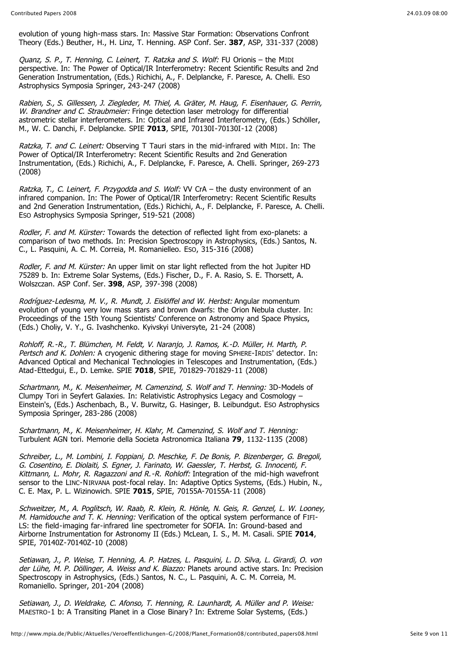evolution of young high-mass stars. In: Massive Star Formation: Observations Confront Theory (Eds.) Beuther, H., H. Linz, T. Henning. ASP Conf. Ser. **387**, ASP, 331-337 (2008)

Quanz, S. P., T. Henning, C. Leinert, T. Ratzka and S. Wolf: FU Orionis - the MIDI perspective. In: The Power of Optical/IR Interferometry: Recent Scientific Results and 2nd Generation Instrumentation, (Eds.) Richichi, A., F. Delplancke, F. Paresce, A. Chelli. ESO Astrophysics Symposia Springer, 243-247 (2008)

Rabien, S., S. Gillessen, J. Ziegleder, M. Thiel, A. Gräter, M. Haug, F. Eisenhauer, G. Perrin, W. Brandner and C. Straubmeier: Fringe detection laser metrology for differential astrometric stellar interferometers. In: Optical and Infrared Interferometry, (Eds.) Schöller, M., W. C. Danchi, F. Delplancke. SPIE **7013**, SPIE, 70130I-70130I-12 (2008)

Ratzka, T. and C. Leinert: Observing T Tauri stars in the mid-infrared with MIDI. In: The Power of Optical/IR Interferometry: Recent Scientific Results and 2nd Generation Instrumentation, (Eds.) Richichi, A., F. Delplancke, F. Paresce, A. Chelli. Springer, 269-273 (2008)

Ratzka, T., C. Leinert, F. Przygodda and S. Wolf: VV CrA - the dusty environment of an infrared companion. In: The Power of Optical/IR Interferometry: Recent Scientific Results and 2nd Generation Instrumentation, (Eds.) Richichi, A., F. Delplancke, F. Paresce, A. Chelli. ESO Astrophysics Symposia Springer, 519-521 (2008)

Rodler, F. and M. Kürster: Towards the detection of reflected light from exo-planets: a comparison of two methods. In: Precision Spectroscopy in Astrophysics, (Eds.) Santos, N. C., L. Pasquini, A. C. M. Correia, M. Romanielleo. ESO, 315-316 (2008)

Rodler, F. and M. Kürster: An upper limit on star light reflected from the hot Jupiter HD 75289 b. In: Extreme Solar Systems, (Eds.) Fischer, D., F. A. Rasio, S. E. Thorsett, A. Wolszczan. ASP Conf. Ser. **398**, ASP, 397-398 (2008)

Rodríguez-Ledesma, M. V., R. Mundt, J. Eislöffel and W. Herbst: Angular momentum evolution of young very low mass stars and brown dwarfs: the Orion Nebula cluster. In: Proceedings of the 15th Young Scientists' Conference on Astronomy and Space Physics, (Eds.) Choliy, V. Y., G. Ivashchenko. Kyivskyi Universyte, 21-24 (2008)

Rohloff, R.-R., T. Blümchen, M. Feldt, V. Naranjo, J. Ramos, K.-D. Müller, H. Marth, P. Pertsch and K. Dohlen: A cryogenic dithering stage for moving SPHERE-IRDIS' detector. In: Advanced Optical and Mechanical Technologies in Telescopes and Instrumentation, (Eds.) Atad-Ettedgui, E., D. Lemke. SPIE **7018**, SPIE, 701829-701829-11 (2008)

Schartmann, M., K. Meisenheimer, M. Camenzind, S. Wolf and T. Henning: 3D-Models of Clumpy Tori in Seyfert Galaxies. In: Relativistic Astrophysics Legacy and Cosmology – Einstein's, (Eds.) Aschenbach, B., V. Burwitz, G. Hasinger, B. Leibundgut. ESO Astrophysics Symposia Springer, 283-286 (2008)

Schartmann, M., K. Meisenheimer, H. Klahr, M. Camenzind, S. Wolf and T. Henning: Turbulent AGN tori. Memorie della Societa Astronomica Italiana **79**, 1132-1135 (2008)

Schreiber, L., M. Lombini, I. Foppiani, D. Meschke, F. De Bonis, P. Bizenberger, G. Bregoli, G. Cosentino, E. Diolaiti, S. Egner, J. Farinato, W. Gaessler, T. Herbst, G. Innocenti, F. Kittmann, L. Mohr, R. Ragazzoni and R.-R. Rohloff: Integration of the mid-high wavefront sensor to the LINC-NIRVANA post-focal relay. In: Adaptive Optics Systems, (Eds.) Hubin, N., C. E. Max, P. L. Wizinowich. SPIE **7015**, SPIE, 70155A-70155A-11 (2008)

Schweitzer, M., A. Poglitsch, W. Raab, R. Klein, R. Hönle, N. Geis, R. Genzel, L. W. Looney, M. Hamidouche and T. K. Henning: Verification of the optical system performance of FIFI-LS: the field-imaging far-infrared line spectrometer for SOFIA. In: Ground-based and Airborne Instrumentation for Astronomy II (Eds.) McLean, I. S., M. M. Casali. SPIE **7014**, SPIE, 70140Z-70140Z-10 (2008)

Setiawan, J., P. Weise, T. Henning, A. P. Hatzes, L. Pasquini, L. D. Silva, L. Girardi, O. von der Lühe, M. P. Döllinger, A. Weiss and K. Biazzo: Planets around active stars. In: Precision Spectroscopy in Astrophysics, (Eds.) Santos, N. C., L. Pasquini, A. C. M. Correia, M. Romaniello. Springer, 201-204 (2008)

Setiawan, J., D. Weldrake, C. Afonso, T. Henning, R. Launhardt, A. Müller and P. Weise: MAESTRO-1 b: A Transiting Planet in a Close Binary? In: Extreme Solar Systems, (Eds.)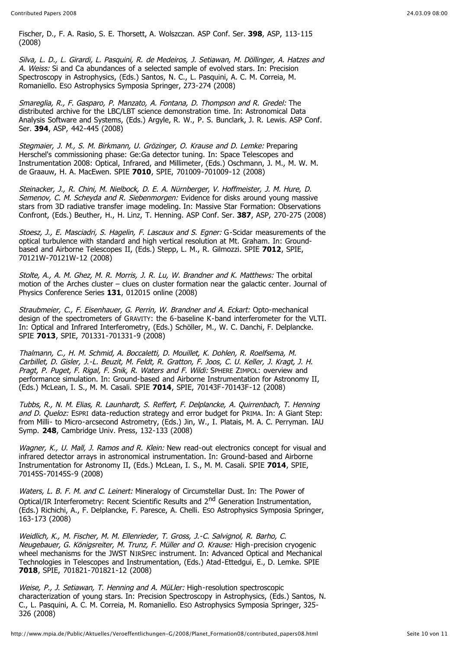Fischer, D., F. A. Rasio, S. E. Thorsett, A. Wolszczan. ASP Conf. Ser. **398**, ASP, 113-115 (2008)

Silva, L. D., L. Girardi, L. Pasquini, R. de Medeiros, J. Setiawan, M. Döllinger, A. Hatzes and A. Weiss: Si and Ca abundances of a selected sample of evolved stars. In: Precision Spectroscopy in Astrophysics, (Eds.) Santos, N. C., L. Pasquini, A. C. M. Correia, M. Romaniello. ESO Astrophysics Symposia Springer, 273-274 (2008)

Smareglia, R., F. Gasparo, P. Manzato, A. Fontana, D. Thompson and R. Gredel: The distributed archive for the LBC/LBT science demonstration time. In: Astronomical Data Analysis Software and Systems, (Eds.) Argyle, R. W., P. S. Bunclark, J. R. Lewis. ASP Conf. Ser. **394**, ASP, 442-445 (2008)

Stegmaier, J. M., S. M. Birkmann, U. Grözinger, O. Krause and D. Lemke: Preparing Herschel's commissioning phase: Ge:Ga detector tuning. In: Space Telescopes and Instrumentation 2008: Optical, Infrared, and Millimeter, (Eds.) Oschmann, J. M., M. W. M. de Graauw, H. A. MacEwen. SPIE **7010**, SPIE, 701009-701009-12 (2008)

Steinacker, J., R. Chini, M. Nielbock, D. E. A. Nürnberger, V. Hoffmeister, J. M. Hure, D. Semenov, C. M. Scheyda and R. Siebenmorgen: Evidence for disks around young massive stars from 3D radiative transfer image modeling. In: Massive Star Formation: Observations Confront, (Eds.) Beuther, H., H. Linz, T. Henning. ASP Conf. Ser. **387**, ASP, 270-275 (2008)

Stoesz, J., E. Masciadri, S. Hagelin, F. Lascaux and S. Egner: G-Scidar measurements of the optical turbulence with standard and high vertical resolution at Mt. Graham. In: Groundbased and Airborne Telescopes II, (Eds.) Stepp, L. M., R. Gilmozzi. SPIE **7012**, SPIE, 70121W-70121W-12 (2008)

Stolte, A., A. M. Ghez, M. R. Morris, J. R. Lu, W. Brandner and K. Matthews: The orbital motion of the Arches cluster – clues on cluster formation near the galactic center. Journal of Physics Conference Series **131**, 012015 online (2008)

Straubmeier, C., F. Eisenhauer, G. Perrin, W. Brandner and A. Eckart: Opto-mechanical design of the spectrometers of GRAVITY: the 6-baseline K-band interferometer for the VLTI. In: Optical and Infrared Interferometry, (Eds.) Schöller, M., W. C. Danchi, F. Delplancke. SPIE **7013**, SPIE, 701331-701331-9 (2008)

Thalmann, C., H. M. Schmid, A. Boccaletti, D. Mouillet, K. Dohlen, R. Roelfsema, M. Carbillet, D. Gisler, J.-L. Beuzit, M. Feldt, R. Gratton, F. Joos, C. U. Keller, J. Kragt, J. H. Pragt, P. Puget, F. Rigal, F. Snik, R. Waters and F. Wildi: SPHERE ZIMPOL: overview and performance simulation. In: Ground-based and Airborne Instrumentation for Astronomy II, (Eds.) McLean, I. S., M. M. Casali. SPIE **7014**, SPIE, 70143F-70143F-12 (2008)

Tubbs, R., N. M. Elias, R. Launhardt, S. Reffert, F. Delplancke, A. Quirrenbach, T. Henning and D. Queloz: ESPRI data-reduction strategy and error budget for PRIMA. In: A Giant Step: from Milli- to Micro-arcsecond Astrometry, (Eds.) Jin, W., I. Platais, M. A. C. Perryman. IAU Symp. **248**, Cambridge Univ. Press, 132-133 (2008)

Wagner, K., U. Mall, J. Ramos and R. Klein: New read-out electronics concept for visual and infrared detector arrays in astronomical instrumentation. In: Ground-based and Airborne Instrumentation for Astronomy II, (Eds.) McLean, I. S., M. M. Casali. SPIE **7014**, SPIE, 70145S-70145S-9 (2008)

Waters, L. B. F. M. and C. Leinert: Mineralogy of Circumstellar Dust. In: The Power of Optical/IR Interferometry: Recent Scientific Results and 2<sup>nd</sup> Generation Instrumentation, (Eds.) Richichi, A., F. Delplancke, F. Paresce, A. Chelli. ESO Astrophysics Symposia Springer, 163-173 (2008)

Weidlich, K., M. Fischer, M. M. Ellenrieder, T. Gross, J.-C. Salvignol, R. Barho, C. Neugebauer, G. Königsreiter, M. Trunz, F. Müller and O. Krause: High-precision cryogenic wheel mechanisms for the JWST NIRSPEC instrument. In: Advanced Optical and Mechanical Technologies in Telescopes and Instrumentation, (Eds.) Atad-Ettedgui, E., D. Lemke. SPIE **7018**, SPIE, 701821-701821-12 (2008)

Weise, P., J. Setiawan, T. Henning and A. MüLler: High-resolution spectroscopic characterization of young stars. In: Precision Spectroscopy in Astrophysics, (Eds.) Santos, N. C., L. Pasquini, A. C. M. Correia, M. Romaniello. ESO Astrophysics Symposia Springer, 325- 326 (2008)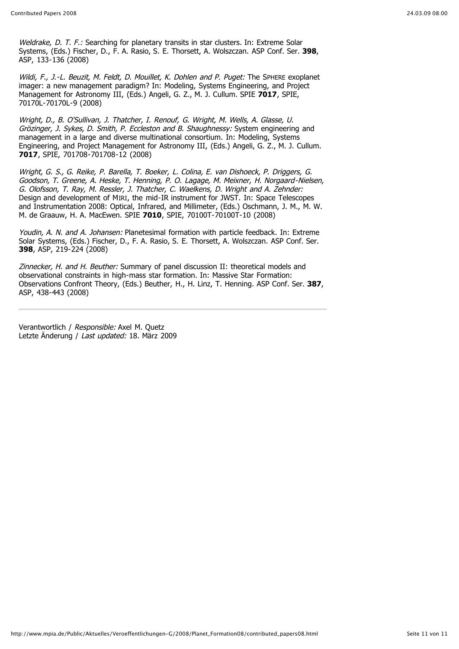Weldrake, D. T. F.: Searching for planetary transits in star clusters. In: Extreme Solar Systems, (Eds.) Fischer, D., F. A. Rasio, S. E. Thorsett, A. Wolszczan. ASP Conf. Ser. **398**, ASP, 133-136 (2008)

Wildi, F., J.-L. Beuzit, M. Feldt, D. Mouillet, K. Dohlen and P. Puget: The SPHERE exoplanet imager: a new management paradigm? In: Modeling, Systems Engineering, and Project Management for Astronomy III, (Eds.) Angeli, G. Z., M. J. Cullum. SPIE **7017**, SPIE, 70170L-70170L-9 (2008)

Wright, D., B. O'Sullivan, J. Thatcher, I. Renouf, G. Wright, M. Wells, A. Glasse, U. Grözinger, J. Sykes, D. Smith, P. Eccleston and B. Shaughnessy: System engineering and management in a large and diverse multinational consortium. In: Modeling, Systems Engineering, and Project Management for Astronomy III, (Eds.) Angeli, G. Z., M. J. Cullum. **7017**, SPIE, 701708-701708-12 (2008)

Wright, G. S., G. Reike, P. Barella, T. Boeker, L. Colina, E. van Dishoeck, P. Driggers, G. Goodson, T. Greene, A. Heske, T. Henning, P. O. Lagage, M. Meixner, H. Norgaard-Nielsen, G. Olofsson, T. Ray, M. Ressler, J. Thatcher, C. Waelkens, D. Wright and A. Zehnder: Design and development of MIRI, the mid-IR instrument for JWST. In: Space Telescopes and Instrumentation 2008: Optical, Infrared, and Millimeter, (Eds.) Oschmann, J. M., M. W. M. de Graauw, H. A. MacEwen. SPIE **7010**, SPIE, 70100T-70100T-10 (2008)

Youdin, A. N. and A. Johansen: Planetesimal formation with particle feedback. In: Extreme Solar Systems, (Eds.) Fischer, D., F. A. Rasio, S. E. Thorsett, A. Wolszczan. ASP Conf. Ser. **398**, ASP, 219-224 (2008)

Zinnecker, H. and H. Beuther: Summary of panel discussion II: theoretical models and observational constraints in high-mass star formation. In: Massive Star Formation: Observations Confront Theory, (Eds.) Beuther, H., H. Linz, T. Henning. ASP Conf. Ser. **387**, ASP, 438-443 (2008)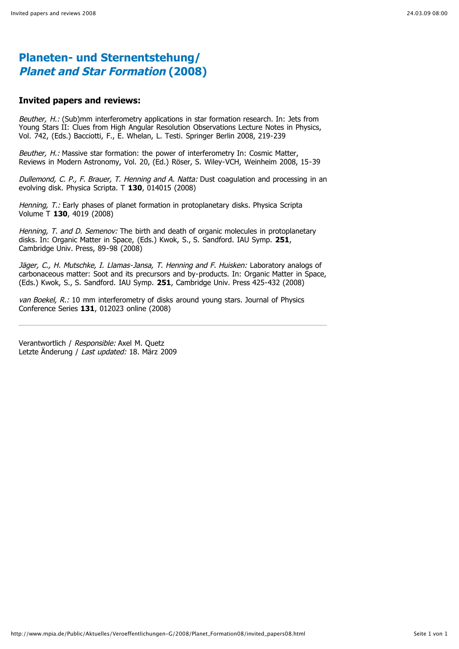#### **Invited papers and reviews:**

Beuther, H.: (Sub)mm interferometry applications in star formation research. In: Jets from Young Stars II: Clues from High Angular Resolution Observations Lecture Notes in Physics, Vol. 742, (Eds.) Bacciotti, F., E. Whelan, L. Testi. Springer Berlin 2008, 219-239

Beuther, H.: Massive star formation: the power of interferometry In: Cosmic Matter, Reviews in Modern Astronomy, Vol. 20, (Ed.) Röser, S. Wiley-VCH, Weinheim 2008, 15-39

Dullemond, C. P., F. Brauer, T. Henning and A. Natta: Dust coagulation and processing in an evolving disk. Physica Scripta. T **130**, 014015 (2008)

Henning, T.: Early phases of planet formation in protoplanetary disks. Physica Scripta Volume T **130**, 4019 (2008)

Henning, T. and D. Semenov: The birth and death of organic molecules in protoplanetary disks. In: Organic Matter in Space, (Eds.) Kwok, S., S. Sandford. IAU Symp. **251**, Cambridge Univ. Press, 89-98 (2008)

Jäger, C., H. Mutschke, I. Llamas-Jansa, T. Henning and F. Huisken: Laboratory analogs of carbonaceous matter: Soot and its precursors and by-products. In: Organic Matter in Space, (Eds.) Kwok, S., S. Sandford. IAU Symp. **251**, Cambridge Univ. Press 425-432 (2008)

van Boekel, R.: 10 mm interferometry of disks around young stars. Journal of Physics Conference Series **131**, 012023 online (2008)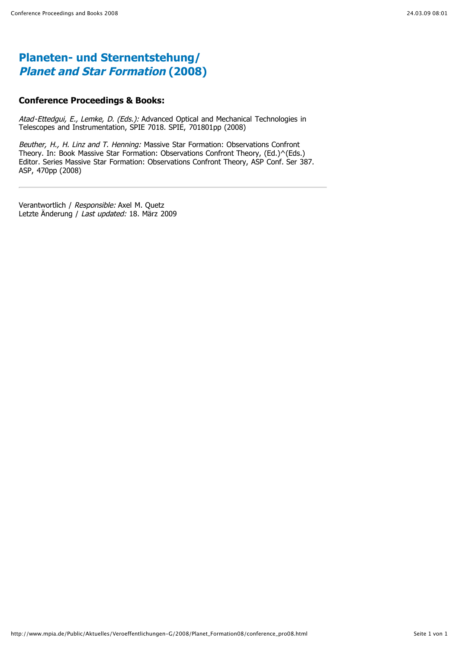### **Conference Proceedings & Books:**

Atad-Ettedgui, E., Lemke, D. (Eds.): Advanced Optical and Mechanical Technologies in Telescopes and Instrumentation, SPIE 7018. SPIE, 701801pp (2008)

Beuther, H., H. Linz and T. Henning: Massive Star Formation: Observations Confront Theory. In: Book Massive Star Formation: Observations Confront Theory, (Ed.)^(Eds.) Editor. Series Massive Star Formation: Observations Confront Theory, ASP Conf. Ser 387. ASP, 470pp (2008)